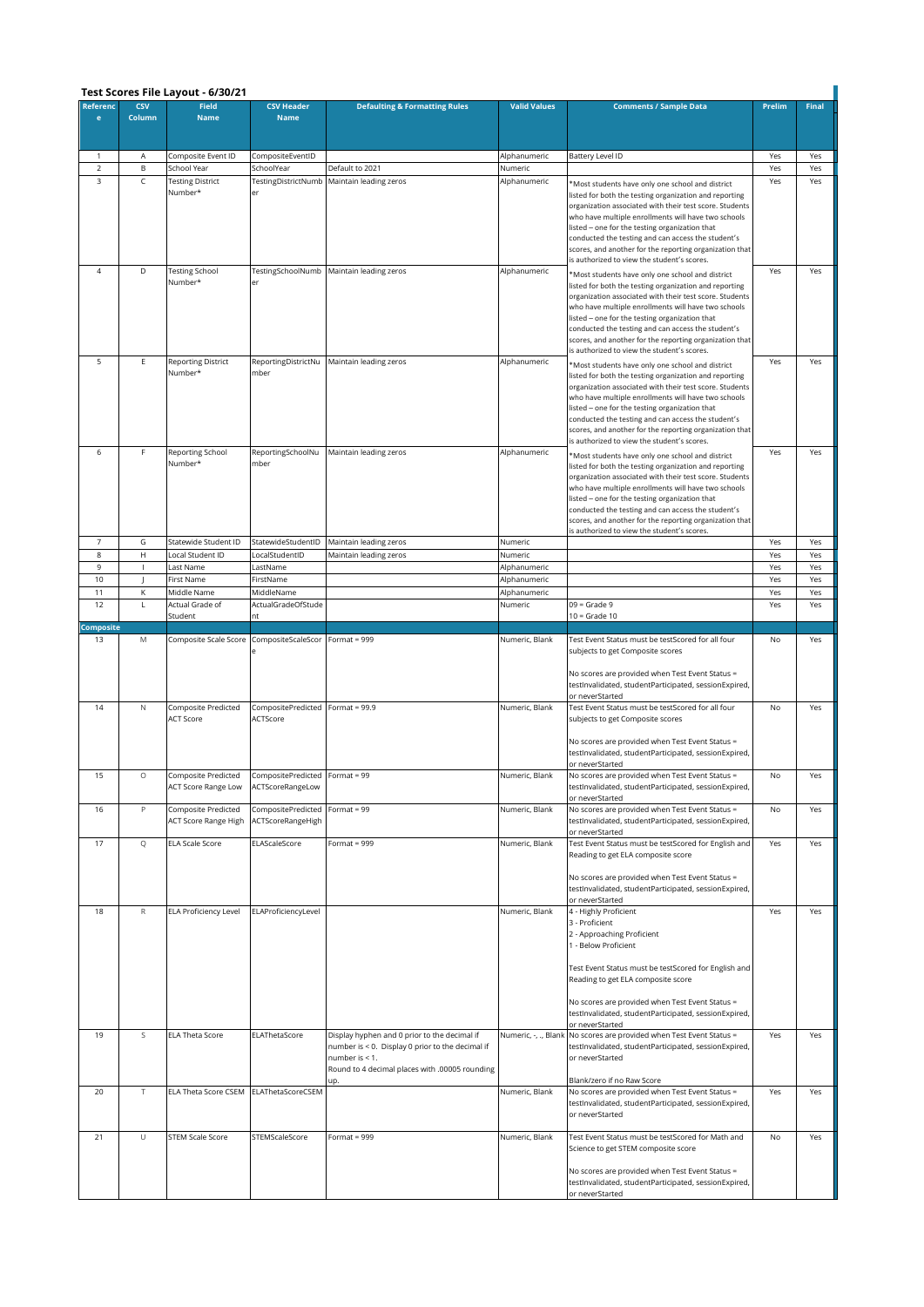|                          | Test Scores File Layout - 6/30/21                         |                                                    |                                                    |                                                                                                                                                                      |                         |                                                                                                                                                                                                                                                                                                                                                                                                                                                |            |              |  |  |  |  |
|--------------------------|-----------------------------------------------------------|----------------------------------------------------|----------------------------------------------------|----------------------------------------------------------------------------------------------------------------------------------------------------------------------|-------------------------|------------------------------------------------------------------------------------------------------------------------------------------------------------------------------------------------------------------------------------------------------------------------------------------------------------------------------------------------------------------------------------------------------------------------------------------------|------------|--------------|--|--|--|--|
| Referenc<br>$\mathbf{e}$ | <b>CSV</b><br>Column                                      | <b>Field</b><br><b>Name</b>                        | <b>CSV Header</b><br><b>Name</b>                   | <b>Defaulting &amp; Formatting Rules</b>                                                                                                                             | <b>Valid Values</b>     | <b>Comments / Sample Data</b>                                                                                                                                                                                                                                                                                                                                                                                                                  | Prelim     | <b>Final</b> |  |  |  |  |
|                          |                                                           |                                                    |                                                    |                                                                                                                                                                      |                         |                                                                                                                                                                                                                                                                                                                                                                                                                                                |            |              |  |  |  |  |
| 1                        | Α                                                         | Composite Event ID<br>School Year                  | CompositeEventID                                   |                                                                                                                                                                      | Alphanumeric            | Battery Level ID                                                                                                                                                                                                                                                                                                                                                                                                                               | Yes        | Yes          |  |  |  |  |
| 2<br>3                   | B<br>C                                                    | <b>Testing District</b><br>Number*                 | SchoolYear<br>TestingDistrictNumb<br>er            | Default to 2021<br>Maintain leading zeros                                                                                                                            | Numeric<br>Alphanumeric | 'Most students have only one school and district<br>listed for both the testing organization and reporting<br>organization associated with their test score. Students<br>who have multiple enrollments will have two schools<br>listed - one for the testing organization that<br>conducted the testing and can access the student's<br>scores, and another for the reporting organization that<br>is authorized to view the student's scores. | Yes<br>Yes | Yes<br>Yes   |  |  |  |  |
| 4                        | D                                                         | <b>Testing School</b><br>Number*                   | TestingSchoolNumb<br>er                            | Maintain leading zeros                                                                                                                                               | Alphanumeric            | *Most students have only one school and district<br>listed for both the testing organization and reporting<br>organization associated with their test score. Students<br>who have multiple enrollments will have two schools<br>listed - one for the testing organization that<br>conducted the testing and can access the student's<br>scores, and another for the reporting organization that<br>is authorized to view the student's scores. | Yes        | Yes          |  |  |  |  |
| 5                        | Е                                                         | <b>Reporting District</b><br>Number*               | ReportingDistrictNu<br>mber                        | Maintain leading zeros                                                                                                                                               | Alphanumeric            | *Most students have only one school and district<br>listed for both the testing organization and reporting<br>organization associated with their test score. Students<br>who have multiple enrollments will have two schools<br>listed - one for the testing organization that<br>conducted the testing and can access the student's<br>scores, and another for the reporting organization that<br>is authorized to view the student's scores. | Yes        | Yes          |  |  |  |  |
| 6                        | F                                                         | Reporting School<br>Number*                        | ReportingSchoolNu<br>mber                          | Maintain leading zeros                                                                                                                                               | Alphanumeric            | *Most students have only one school and district<br>listed for both the testing organization and reporting<br>organization associated with their test score. Students<br>who have multiple enrollments will have two schools<br>listed - one for the testing organization that<br>conducted the testing and can access the student's<br>scores, and another for the reporting organization that<br>is authorized to view the student's scores. | Yes        | Yes          |  |  |  |  |
| $\overline{7}$<br>$\bf8$ | G<br>$\mathsf{H}% _{0}\left( \mathcal{M}_{0}\right) ^{T}$ | Statewide Student ID<br>Local Student ID           | StatewideStudentID<br>LocalStudentID               | Maintain leading zeros<br>Maintain leading zeros                                                                                                                     | Numeric<br>Numeric      |                                                                                                                                                                                                                                                                                                                                                                                                                                                | Yes<br>Yes | Yes<br>Yes   |  |  |  |  |
| 9                        | $\mathbf{I}$                                              | Last Name                                          | LastName                                           |                                                                                                                                                                      | Alphanumeric            |                                                                                                                                                                                                                                                                                                                                                                                                                                                | Yes        | Yes          |  |  |  |  |
| 10                       | -1                                                        | First Name                                         | FirstName                                          |                                                                                                                                                                      | Alphanumeric            |                                                                                                                                                                                                                                                                                                                                                                                                                                                | Yes        | Yes          |  |  |  |  |
| 11                       | К                                                         | Middle Name                                        | MiddleName                                         |                                                                                                                                                                      | Alphanumeric            |                                                                                                                                                                                                                                                                                                                                                                                                                                                | Yes        | Yes          |  |  |  |  |
| 12                       | L                                                         | Actual Grade of                                    | ActualGradeOfStude                                 |                                                                                                                                                                      | Numeric                 | $09 =$ Grade $9$                                                                                                                                                                                                                                                                                                                                                                                                                               | Yes        | Yes          |  |  |  |  |
| Composite                |                                                           | Student                                            | nt                                                 |                                                                                                                                                                      |                         | $10 =$ Grade $10$                                                                                                                                                                                                                                                                                                                                                                                                                              |            |              |  |  |  |  |
| 13                       | M                                                         | Composite Scale Score                              | CompositeScaleScor                                 | Format = $999$                                                                                                                                                       | Numeric, Blank          | Test Event Status must be testScored for all four<br>subjects to get Composite scores<br>No scores are provided when Test Event Status =<br>testInvalidated, studentParticipated, sessionExpired,<br>or neverStarted                                                                                                                                                                                                                           | No         | Yes          |  |  |  |  |
| 14                       | N                                                         | Composite Predicted<br>ACT Score                   | CompositePredicted<br>ACTScore                     | Format = $99.9$                                                                                                                                                      | Numeric, Blank          | Test Event Status must be testScored for all four<br>subjects to get Composite scores<br>No scores are provided when Test Event Status =<br>testInvalidated, studentParticipated, sessionExpired,<br>or neverStarted                                                                                                                                                                                                                           | No         | Yes          |  |  |  |  |
| 15                       | $\circ$                                                   | Composite Predicted<br>ACT Score Range Low         | CompositePredicted Format = 99<br>ACTScoreRangeLow |                                                                                                                                                                      | Numeric, Blank          | No scores are provided when Test Event Status =<br>testInvalidated, studentParticipated, sessionExpired,<br>or neverStarted                                                                                                                                                                                                                                                                                                                    | No         | Yes          |  |  |  |  |
| 16                       | P                                                         | Composite Predicted<br><b>ACT Score Range High</b> | CompositePredicted<br>ACTScoreRangeHigh            | Format = $99$                                                                                                                                                        | Numeric, Blank          | No scores are provided when Test Event Status =<br>testInvalidated, studentParticipated, sessionExpired,<br>or neverStarted                                                                                                                                                                                                                                                                                                                    | No         | Yes          |  |  |  |  |
| 17                       | Q                                                         | ELA Scale Score                                    | ELAScaleScore                                      | Format = $999$                                                                                                                                                       | Numeric, Blank          | Test Event Status must be testScored for English and<br>Reading to get ELA composite score<br>No scores are provided when Test Event Status =<br>testInvalidated, studentParticipated, sessionExpired,<br>or neverStarted                                                                                                                                                                                                                      | Yes        | Yes          |  |  |  |  |
| 18                       | ${\sf R}$                                                 | <b>ELA Proficiency Level</b>                       | ELAProficiencyLevel                                |                                                                                                                                                                      | Numeric, Blank          | 4 - Highly Proficient<br>3 - Proficient<br>2 - Approaching Proficient<br>1 - Below Proficient<br>Test Event Status must be testScored for English and<br>Reading to get ELA composite score<br>No scores are provided when Test Event Status =<br>testInvalidated, studentParticipated, sessionExpired,<br>or neverStarted                                                                                                                     | Yes        | Yes          |  |  |  |  |
| 19                       | S                                                         | <b>ELA Theta Score</b>                             | ELAThetaScore                                      | Display hyphen and 0 prior to the decimal if<br>number is < 0. Display 0 prior to the decimal if<br>number is < 1.<br>Round to 4 decimal places with .00005 rounding |                         | Numeric, -, ., Blank No scores are provided when Test Event Status =<br>testInvalidated, studentParticipated, sessionExpired,<br>or neverStarted<br>Blank/zero if no Raw Score                                                                                                                                                                                                                                                                 | Yes        | Yes          |  |  |  |  |
| 20                       | $\top$                                                    | ELA Theta Score CSEM                               | ELAThetaScoreCSEM                                  |                                                                                                                                                                      | Numeric, Blank          | No scores are provided when Test Event Status =<br>testInvalidated, studentParticipated, sessionExpired,<br>or neverStarted                                                                                                                                                                                                                                                                                                                    | Yes        | Yes          |  |  |  |  |
| 21                       | $\cup$                                                    | <b>STEM Scale Score</b>                            | STEMScaleScore                                     | Format = $999$                                                                                                                                                       | Numeric, Blank          | Test Event Status must be testScored for Math and<br>Science to get STEM composite score<br>No scores are provided when Test Event Status =<br>testInvalidated, studentParticipated, sessionExpired,<br>or neverStarted                                                                                                                                                                                                                        | No         | Yes          |  |  |  |  |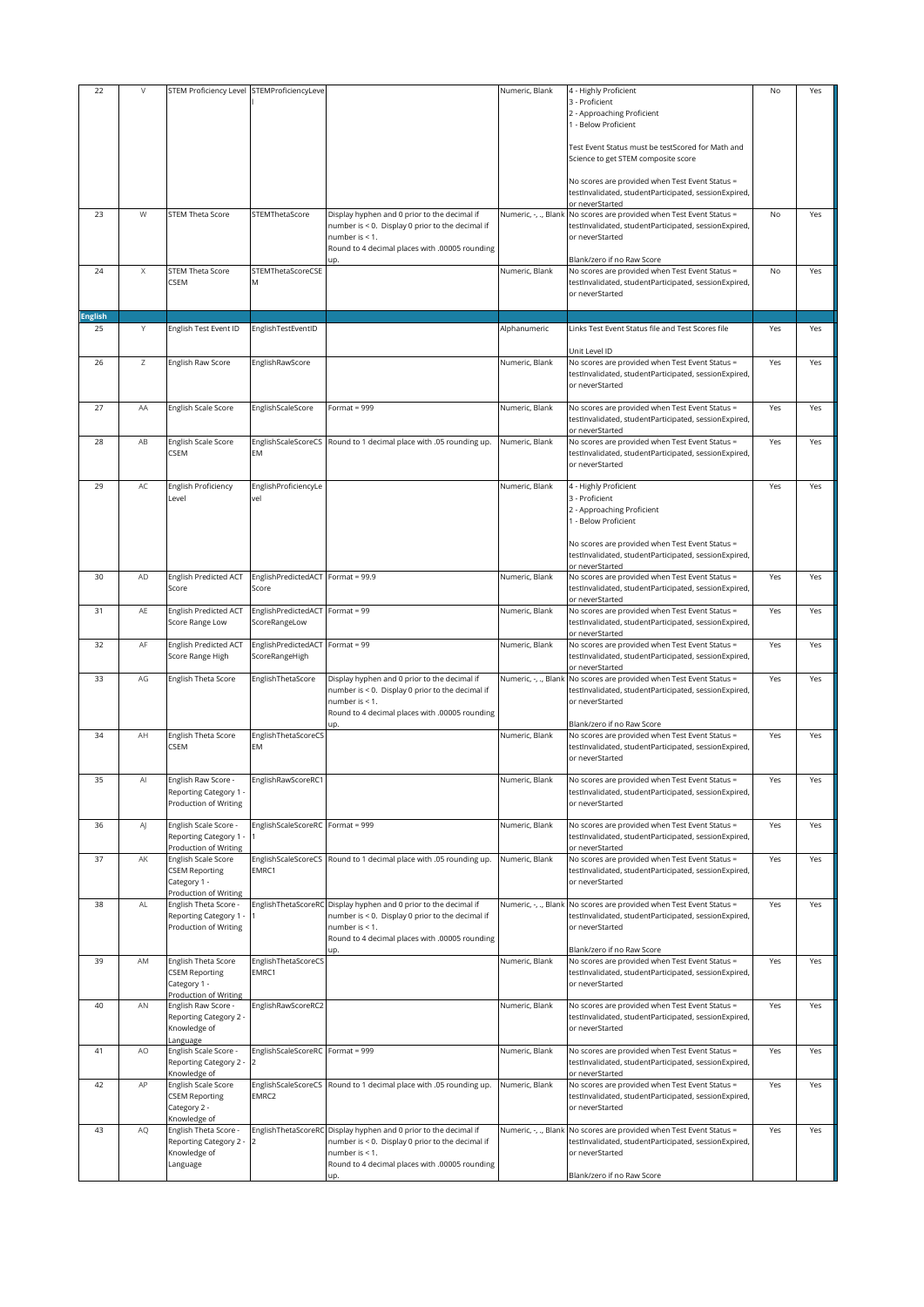| 22             | $\vee$ | STEM Proficiency Level STEMProficiencyLeve      |                                      |                                                                                                  | Numeric, Blank       | 4 - Highly Proficient                                                                                    | No  | Yes |
|----------------|--------|-------------------------------------------------|--------------------------------------|--------------------------------------------------------------------------------------------------|----------------------|----------------------------------------------------------------------------------------------------------|-----|-----|
|                |        |                                                 |                                      |                                                                                                  |                      | 3 - Proficient                                                                                           |     |     |
|                |        |                                                 |                                      |                                                                                                  |                      | 2 - Approaching Proficient<br>1 - Below Proficient                                                       |     |     |
|                |        |                                                 |                                      |                                                                                                  |                      |                                                                                                          |     |     |
|                |        |                                                 |                                      |                                                                                                  |                      | Test Event Status must be testScored for Math and                                                        |     |     |
|                |        |                                                 |                                      |                                                                                                  |                      | Science to get STEM composite score                                                                      |     |     |
|                |        |                                                 |                                      |                                                                                                  |                      | No scores are provided when Test Event Status =                                                          |     |     |
|                |        |                                                 |                                      |                                                                                                  |                      | testInvalidated, studentParticipated, sessionExpired,                                                    |     |     |
|                |        |                                                 |                                      |                                                                                                  |                      | or neverStarted                                                                                          |     |     |
| 23             | W      | <b>STEM Theta Score</b>                         | STEMThetaScore                       | Display hyphen and 0 prior to the decimal if<br>number is < 0. Display 0 prior to the decimal if | Numeric, -, ., Blank | No scores are provided when Test Event Status =<br>testInvalidated, studentParticipated, sessionExpired, | No  | Yes |
|                |        |                                                 |                                      | number is $< 1$ .                                                                                |                      | or neverStarted                                                                                          |     |     |
|                |        |                                                 |                                      | Round to 4 decimal places with .00005 rounding                                                   |                      |                                                                                                          |     |     |
| 24             | Χ      | <b>STEM Theta Score</b>                         | STEMThetaScoreCSE                    |                                                                                                  | Numeric, Blank       | Blank/zero if no Raw Score<br>No scores are provided when Test Event Status =                            | No  | Yes |
|                |        | CSEM                                            | Μ                                    |                                                                                                  |                      | testInvalidated, studentParticipated, sessionExpired,                                                    |     |     |
|                |        |                                                 |                                      |                                                                                                  |                      | or neverStarted                                                                                          |     |     |
| <b>English</b> |        |                                                 |                                      |                                                                                                  |                      |                                                                                                          |     |     |
| 25             | Υ      | English Test Event ID                           | EnglishTestEventID                   |                                                                                                  | Alphanumeric         | Links Test Event Status file and Test Scores file                                                        | Yes | Yes |
|                |        |                                                 |                                      |                                                                                                  |                      |                                                                                                          |     |     |
|                |        |                                                 |                                      |                                                                                                  |                      | Unit Level ID                                                                                            |     |     |
| 26             | Ζ      | English Raw Score                               | EnglishRawScore                      |                                                                                                  | Numeric, Blank       | No scores are provided when Test Event Status =<br>testInvalidated, studentParticipated, sessionExpired, | Yes | Yes |
|                |        |                                                 |                                      |                                                                                                  |                      | or neverStarted                                                                                          |     |     |
|                |        |                                                 |                                      |                                                                                                  |                      |                                                                                                          |     |     |
| 27             | AA     | English Scale Score                             | EnglishScaleScore                    | Format = $999$                                                                                   | Numeric, Blank       | No scores are provided when Test Event Status =<br>testInvalidated, studentParticipated, sessionExpired, | Yes | Yes |
|                |        |                                                 |                                      |                                                                                                  |                      | or neverStarted                                                                                          |     |     |
| 28             | AB     | English Scale Score                             | EnglishScaleScoreCS                  | Round to 1 decimal place with .05 rounding up.                                                   | Numeric, Blank       | No scores are provided when Test Event Status =                                                          | Yes | Yes |
|                |        | <b>CSEM</b>                                     | <b>EM</b>                            |                                                                                                  |                      | testInvalidated, studentParticipated, sessionExpired,<br>or neverStarted                                 |     |     |
|                |        |                                                 |                                      |                                                                                                  |                      |                                                                                                          |     |     |
| 29             | AC     | English Proficiency                             | EnglishProficiencyLe                 |                                                                                                  | Numeric, Blank       | 4 - Highly Proficient                                                                                    | Yes | Yes |
|                |        | Level                                           | vel                                  |                                                                                                  |                      | 3 - Proficient                                                                                           |     |     |
|                |        |                                                 |                                      |                                                                                                  |                      | 2 - Approaching Proficient<br>1 - Below Proficient                                                       |     |     |
|                |        |                                                 |                                      |                                                                                                  |                      |                                                                                                          |     |     |
|                |        |                                                 |                                      |                                                                                                  |                      | No scores are provided when Test Event Status =                                                          |     |     |
|                |        |                                                 |                                      |                                                                                                  |                      | testInvalidated, studentParticipated, sessionExpired,                                                    |     |     |
| 30             | AD     | English Predicted ACT                           | EnglishPredictedACT                  | Format = $99.9$                                                                                  | Numeric, Blank       | or neverStarted<br>No scores are provided when Test Event Status =                                       | Yes | Yes |
|                |        | Score                                           | Score                                |                                                                                                  |                      | testInvalidated, studentParticipated, sessionExpired,                                                    |     |     |
|                |        |                                                 |                                      |                                                                                                  |                      | or neverStarted                                                                                          |     |     |
| 31             | AE     | English Predicted ACT<br>Score Range Low        | EnglishPredictedACT<br>ScoreRangeLow | Format = 99                                                                                      | Numeric, Blank       | No scores are provided when Test Event Status =<br>testInvalidated, studentParticipated, sessionExpired, | Yes | Yes |
|                |        |                                                 |                                      |                                                                                                  |                      | or neverStarted                                                                                          |     |     |
| 32             | AF     | <b>English Predicted ACT</b>                    | EnglishPredictedACT                  | Format = $99$                                                                                    | Numeric, Blank       | No scores are provided when Test Event Status =                                                          | Yes | Yes |
|                |        | Score Range High                                | ScoreRangeHigh                       |                                                                                                  |                      | testInvalidated, studentParticipated, sessionExpired,<br>or neverStarted                                 |     |     |
| 33             | AG     | English Theta Score                             | EnglishThetaScore                    | Display hyphen and 0 prior to the decimal if                                                     | Numeric, -, ., Blank | No scores are provided when Test Event Status =                                                          | Yes | Yes |
|                |        |                                                 |                                      | number is < 0. Display 0 prior to the decimal if                                                 |                      | testInvalidated, studentParticipated, sessionExpired,                                                    |     |     |
|                |        |                                                 |                                      | number is < 1.                                                                                   |                      | or neverStarted                                                                                          |     |     |
|                |        |                                                 |                                      | Round to 4 decimal places with .00005 rounding                                                   |                      | Blank/zero if no Raw Score                                                                               |     |     |
| 34             | AH     | English Theta Score                             | EnglishThetaScoreCS                  |                                                                                                  | Numeric, Blank       | No scores are provided when Test Event Status =                                                          | Yes | Yes |
|                |        | CSEM                                            | EM                                   |                                                                                                  |                      | testInvalidated, studentParticipated, sessionExpired,<br>or neverStarted                                 |     |     |
|                |        |                                                 |                                      |                                                                                                  |                      |                                                                                                          |     |     |
| 35             |        | Inglish Raw Score -                             | EnglishRawScoreRC                    |                                                                                                  | Numeric, Blank       | No scores are provided when Test Event Status =                                                          | res | res |
|                |        | Reporting Category 1 -                          |                                      |                                                                                                  |                      | testInvalidated, studentParticipated, sessionExpired,                                                    |     |     |
|                |        | Production of Writing                           |                                      |                                                                                                  |                      | or neverStarted                                                                                          |     |     |
| 36             | AJ     | English Scale Score -                           | EnglishScaleScoreRC                  | Format = $999$                                                                                   | Numeric, Blank       | No scores are provided when Test Event Status =                                                          | Yes | Yes |
|                |        | Reporting Category 1                            |                                      |                                                                                                  |                      | testInvalidated, studentParticipated, sessionExpired,                                                    |     |     |
| 37             | AK     | Production of Writing<br>English Scale Score    | EnglishScaleScoreCS                  | Round to 1 decimal place with .05 rounding up.                                                   | Numeric, Blank       | or neverStarted<br>No scores are provided when Test Event Status =                                       | Yes | Yes |
|                |        | <b>CSEM Reporting</b>                           | EMRC1                                |                                                                                                  |                      | testInvalidated, studentParticipated, sessionExpired,                                                    |     |     |
|                |        | Category 1 -                                    |                                      |                                                                                                  |                      | or neverStarted                                                                                          |     |     |
| 38             | AL     | Production of Writing<br>English Theta Score -  |                                      | EnglishThetaScoreRC Display hyphen and 0 prior to the decimal if                                 |                      | No scores are provided when Test Event Status =                                                          | Yes | Yes |
|                |        | Reporting Category 1                            |                                      | number is < 0. Display 0 prior to the decimal if                                                 | Numeric, -, ., Blank | testInvalidated, studentParticipated, sessionExpired,                                                    |     |     |
|                |        | Production of Writing                           |                                      | number is < 1.                                                                                   |                      | or neverStarted                                                                                          |     |     |
|                |        |                                                 |                                      | Round to 4 decimal places with .00005 rounding                                                   |                      |                                                                                                          |     |     |
| 39             | AM     | English Theta Score                             | EnglishThetaScoreCS                  | up.                                                                                              | Numeric, Blank       | Blank/zero if no Raw Score<br>No scores are provided when Test Event Status =                            | Yes | Yes |
|                |        | <b>CSEM Reporting</b>                           | EMRC1                                |                                                                                                  |                      | testInvalidated, studentParticipated, sessionExpired,                                                    |     |     |
|                |        | Category 1 -                                    |                                      |                                                                                                  |                      | or neverStarted                                                                                          |     |     |
| 40             | AN     | Production of Writing<br>English Raw Score -    | EnglishRawScoreRC2                   |                                                                                                  | Numeric, Blank       | No scores are provided when Test Event Status =                                                          | Yes | Yes |
|                |        | Reporting Category 2 -                          |                                      |                                                                                                  |                      | testInvalidated, studentParticipated, sessionExpired,                                                    |     |     |
|                |        | Knowledge of                                    |                                      |                                                                                                  |                      | or neverStarted                                                                                          |     |     |
| 41             | AO     | anguage<br>English Scale Score -                | EnglishScaleScoreRC Format = 999     |                                                                                                  | Numeric, Blank       | No scores are provided when Test Event Status =                                                          | Yes | Yes |
|                |        | Reporting Category 2 - 2                        |                                      |                                                                                                  |                      | testInvalidated, studentParticipated, sessionExpired,                                                    |     |     |
|                |        | Knowledge of                                    |                                      |                                                                                                  |                      | or neverStarted                                                                                          |     |     |
| 42             | AP     | English Scale Score<br><b>CSEM Reporting</b>    | EnglishScaleScoreCS<br>EMRC2         | Round to 1 decimal place with .05 rounding up.                                                   | Numeric, Blank       | No scores are provided when Test Event Status =<br>testInvalidated, studentParticipated, sessionExpired, | Yes | Yes |
|                |        | Category 2 -                                    |                                      |                                                                                                  |                      | or neverStarted                                                                                          |     |     |
|                |        | Knowledge of                                    |                                      |                                                                                                  |                      |                                                                                                          |     |     |
| 43             | AQ     | English Theta Score -<br>Reporting Category 2 - | EnglishThetaScoreRC                  | Display hyphen and 0 prior to the decimal if<br>number is < 0. Display 0 prior to the decimal if | Numeric, -, ., Blank | No scores are provided when Test Event Status =<br>testInvalidated, studentParticipated, sessionExpired, | Yes | Yes |
|                |        | Knowledge of                                    |                                      | number is < 1.                                                                                   |                      | or neverStarted                                                                                          |     |     |
|                |        | Language                                        |                                      | Round to 4 decimal places with .00005 rounding                                                   |                      |                                                                                                          |     |     |
|                |        |                                                 |                                      | up.                                                                                              |                      | Blank/zero if no Raw Score                                                                               |     |     |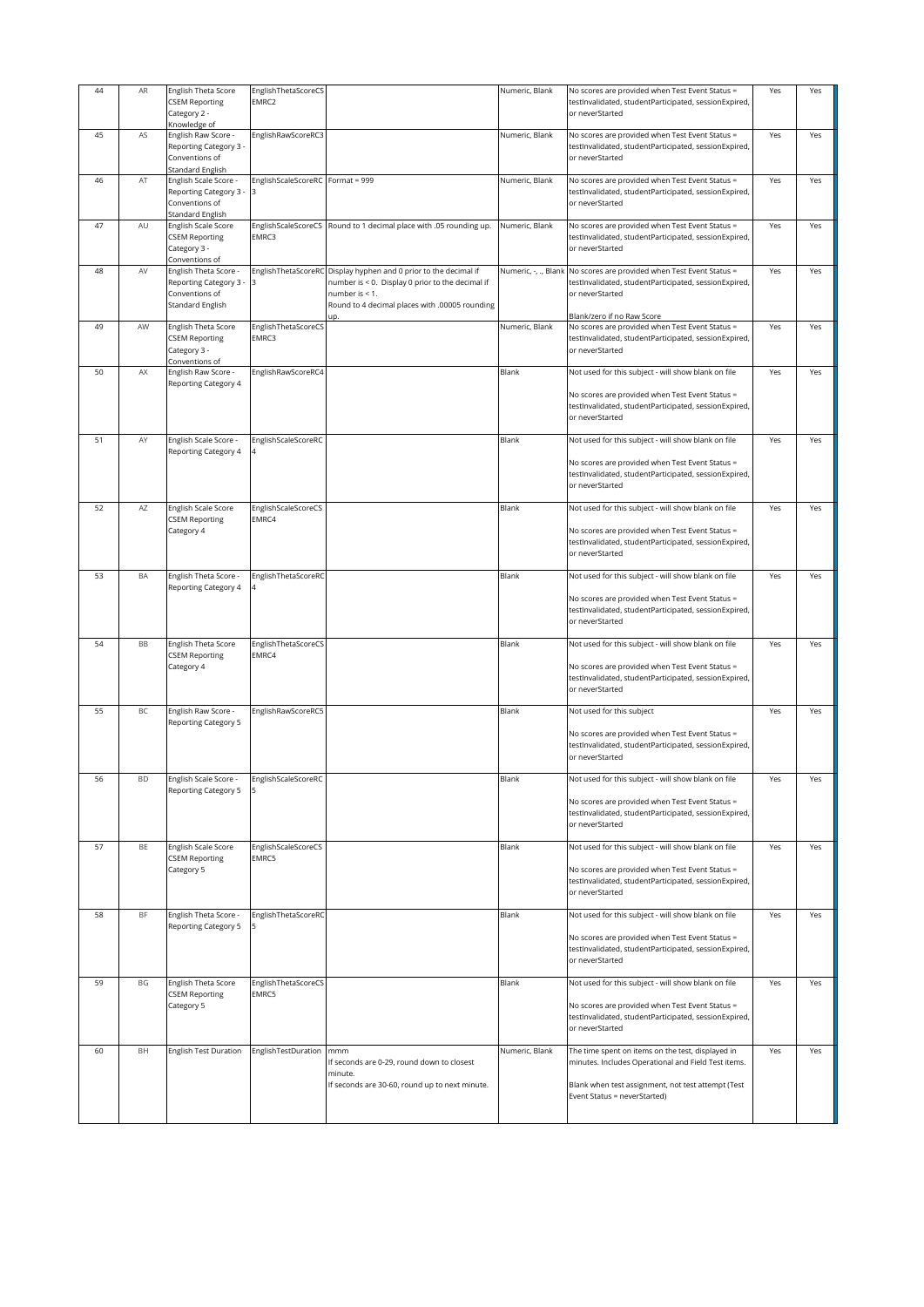| 44 | AR        | English Theta Score                           | EnglishThetaScoreCS              |                                                                    | Numeric, Blank       | No scores are provided when Test Event Status =                          | Yes | Yes |
|----|-----------|-----------------------------------------------|----------------------------------|--------------------------------------------------------------------|----------------------|--------------------------------------------------------------------------|-----|-----|
|    |           | <b>CSEM Reporting</b>                         | EMRC2                            |                                                                    |                      | testInvalidated, studentParticipated, sessionExpired,                    |     |     |
|    |           | Category 2 -                                  |                                  |                                                                    |                      | or neverStarted                                                          |     |     |
|    |           | Knowledge of                                  |                                  |                                                                    |                      |                                                                          |     |     |
| 45 | AS        | English Raw Score -                           | EnglishRawScoreRC3               |                                                                    | Numeric, Blank       | No scores are provided when Test Event Status =                          | Yes | Yes |
|    |           | Reporting Category 3 -                        |                                  |                                                                    |                      | testInvalidated, studentParticipated, sessionExpired,                    |     |     |
|    |           | Conventions of                                |                                  |                                                                    |                      | or neverStarted                                                          |     |     |
|    |           | <b>Standard English</b>                       |                                  |                                                                    |                      |                                                                          |     |     |
| 46 | AT        | English Scale Score -                         | EnglishScaleScoreRC Format = 999 |                                                                    | Numeric, Blank       | No scores are provided when Test Event Status =                          | Yes | Yes |
|    |           | Reporting Category 3 -                        |                                  |                                                                    |                      |                                                                          |     |     |
|    |           | Conventions of                                |                                  |                                                                    |                      | testInvalidated, studentParticipated, sessionExpired,<br>or neverStarted |     |     |
|    |           | Standard English                              |                                  |                                                                    |                      |                                                                          |     |     |
| 47 | AU        | English Scale Score                           | EnglishScaleScoreCS              | Round to 1 decimal place with .05 rounding up.                     | Numeric, Blank       | No scores are provided when Test Event Status =                          | Yes | Yes |
|    |           | <b>CSEM Reporting</b>                         | EMRC3                            |                                                                    |                      | testInvalidated, studentParticipated, sessionExpired,                    |     |     |
|    |           | Category 3 -                                  |                                  |                                                                    |                      | or neverStarted                                                          |     |     |
|    |           | Conventions of                                |                                  |                                                                    |                      |                                                                          |     |     |
| 48 | AV        | English Theta Score -                         |                                  | EnglishThetaScoreRC Display hyphen and 0 prior to the decimal if   | Numeric, -, ., Blank | No scores are provided when Test Event Status =                          | Yes | Yes |
|    |           |                                               | l3                               |                                                                    |                      |                                                                          |     |     |
|    |           | Reporting Category 3 -                        |                                  | number is < 0. Display 0 prior to the decimal if<br>number is < 1. |                      | testInvalidated, studentParticipated, sessionExpired,<br>or neverStarted |     |     |
|    |           | Conventions of                                |                                  | Round to 4 decimal places with .00005 rounding                     |                      |                                                                          |     |     |
|    |           | Standard English                              |                                  | up.                                                                |                      | Blank/zero if no Raw Score                                               |     |     |
| 49 | AW        | English Theta Score                           | EnglishThetaScoreCS              |                                                                    | Numeric, Blank       | No scores are provided when Test Event Status =                          | Yes | Yes |
|    |           |                                               | EMRC3                            |                                                                    |                      |                                                                          |     |     |
|    |           | <b>CSEM Reporting</b>                         |                                  |                                                                    |                      | testInvalidated, studentParticipated, sessionExpired,                    |     |     |
|    |           | Category 3 -                                  |                                  |                                                                    |                      | or neverStarted                                                          |     |     |
|    |           | Conventions of                                |                                  |                                                                    |                      |                                                                          |     |     |
| 50 | AX        | English Raw Score -                           | EnglishRawScoreRC4               |                                                                    | Blank                | Not used for this subject - will show blank on file                      | Yes | Yes |
|    |           | Reporting Category 4                          |                                  |                                                                    |                      |                                                                          |     |     |
|    |           |                                               |                                  |                                                                    |                      | No scores are provided when Test Event Status =                          |     |     |
|    |           |                                               |                                  |                                                                    |                      | testInvalidated, studentParticipated, sessionExpired,                    |     |     |
|    |           |                                               |                                  |                                                                    |                      | or neverStarted                                                          |     |     |
|    |           |                                               |                                  |                                                                    |                      |                                                                          |     |     |
| 51 | AY        | English Scale Score -                         | EnglishScaleScoreRC              |                                                                    | Blank                | Not used for this subject - will show blank on file                      | Yes | Yes |
|    |           | Reporting Category 4                          |                                  |                                                                    |                      |                                                                          |     |     |
|    |           |                                               |                                  |                                                                    |                      | No scores are provided when Test Event Status =                          |     |     |
|    |           |                                               |                                  |                                                                    |                      | testInvalidated, studentParticipated, sessionExpired,                    |     |     |
|    |           |                                               |                                  |                                                                    |                      | or neverStarted                                                          |     |     |
| 52 | AZ        | English Scale Score                           |                                  |                                                                    | Blank                |                                                                          | Yes | Yes |
|    |           |                                               | EnglishScaleScoreCS<br>EMRC4     |                                                                    |                      | Not used for this subject - will show blank on file                      |     |     |
|    |           | <b>CSEM Reporting</b>                         |                                  |                                                                    |                      |                                                                          |     |     |
|    |           | Category 4                                    |                                  |                                                                    |                      | No scores are provided when Test Event Status =                          |     |     |
|    |           |                                               |                                  |                                                                    |                      | testInvalidated, studentParticipated, sessionExpired,                    |     |     |
|    |           |                                               |                                  |                                                                    |                      | or neverStarted                                                          |     |     |
| 53 | BA        |                                               |                                  |                                                                    | Blank                |                                                                          |     |     |
|    |           | English Theta Score -<br>Reporting Category 4 | EnglishThetaScoreRC              |                                                                    |                      | Not used for this subject - will show blank on file                      | Yes | Yes |
|    |           |                                               |                                  |                                                                    |                      | No scores are provided when Test Event Status =                          |     |     |
|    |           |                                               |                                  |                                                                    |                      | testInvalidated, studentParticipated, sessionExpired,                    |     |     |
|    |           |                                               |                                  |                                                                    |                      | or neverStarted                                                          |     |     |
|    |           |                                               |                                  |                                                                    |                      |                                                                          |     |     |
| 54 | BB        | English Theta Score                           | EnglishThetaScoreCS              |                                                                    | Blank                | Not used for this subject - will show blank on file                      | Yes | Yes |
|    |           | <b>CSEM Reporting</b>                         | EMRC4                            |                                                                    |                      |                                                                          |     |     |
|    |           | Category 4                                    |                                  |                                                                    |                      | No scores are provided when Test Event Status =                          |     |     |
|    |           |                                               |                                  |                                                                    |                      | testInvalidated, studentParticipated, sessionExpired,                    |     |     |
|    |           |                                               |                                  |                                                                    |                      | or neverStarted                                                          |     |     |
|    |           |                                               |                                  |                                                                    |                      |                                                                          |     |     |
| 55 | BC        | English Raw Score -                           | EnglishRawScoreRC5               |                                                                    | Blank                | Not used for this subject                                                | Yes | Yes |
|    |           | Reporting Category 5                          |                                  |                                                                    |                      |                                                                          |     |     |
|    |           |                                               |                                  |                                                                    |                      | No scores are provided when Test Event Status =                          |     |     |
|    |           |                                               |                                  |                                                                    |                      | testInvalidated, studentParticipated, sessionExpired,                    |     |     |
|    |           |                                               |                                  |                                                                    |                      | or neverStarted                                                          |     |     |
|    |           |                                               |                                  |                                                                    |                      |                                                                          |     |     |
| 56 |           | English Scale Score -                         | EnglishScaleScoreRO              |                                                                    | Blank                | Not used for this subject - will show blank on file                      | Yes | Yes |
|    |           | Reporting Category 5                          |                                  |                                                                    |                      |                                                                          |     |     |
|    |           |                                               |                                  |                                                                    |                      | No scores are provided when Test Event Status =                          |     |     |
|    |           |                                               |                                  |                                                                    |                      | testInvalidated, studentParticipated, sessionExpired,                    |     |     |
|    |           |                                               |                                  |                                                                    |                      | or neverStarted                                                          |     |     |
|    |           |                                               |                                  |                                                                    |                      |                                                                          |     |     |
| 57 | BE        | English Scale Score                           | EnglishScaleScoreCS              |                                                                    | Blank                | Not used for this subject - will show blank on file                      | Yes | Yes |
|    |           | <b>CSEM Reporting</b>                         | EMRC5                            |                                                                    |                      |                                                                          |     |     |
|    |           | Category 5                                    |                                  |                                                                    |                      | No scores are provided when Test Event Status =                          |     |     |
|    |           |                                               |                                  |                                                                    |                      | testInvalidated, studentParticipated, sessionExpired,                    |     |     |
|    |           |                                               |                                  |                                                                    |                      | or neverStarted                                                          |     |     |
|    |           |                                               |                                  |                                                                    |                      |                                                                          |     |     |
| 58 | <b>BF</b> | English Theta Score -                         | EnglishThetaScoreRC              |                                                                    | Blank                | Not used for this subject - will show blank on file                      | Yes | Yes |
|    |           | Reporting Category 5                          |                                  |                                                                    |                      |                                                                          |     |     |
|    |           |                                               |                                  |                                                                    |                      | No scores are provided when Test Event Status =                          |     |     |
|    |           |                                               |                                  |                                                                    |                      | testInvalidated, studentParticipated, sessionExpired,                    |     |     |
|    |           |                                               |                                  |                                                                    |                      | or neverStarted                                                          |     |     |
|    |           |                                               |                                  |                                                                    |                      |                                                                          |     |     |
| 59 | BG        | English Theta Score                           | EnglishThetaScoreCS              |                                                                    | Blank                | Not used for this subject - will show blank on file                      | Yes | Yes |
|    |           | <b>CSEM Reporting</b>                         | EMRC5                            |                                                                    |                      |                                                                          |     |     |
|    |           | Category 5                                    |                                  |                                                                    |                      | No scores are provided when Test Event Status =                          |     |     |
|    |           |                                               |                                  |                                                                    |                      | testInvalidated, studentParticipated, sessionExpired,                    |     |     |
|    |           |                                               |                                  |                                                                    |                      | or neverStarted                                                          |     |     |
|    |           |                                               |                                  |                                                                    |                      |                                                                          |     |     |
| 60 | BH        | English Test Duration                         | EnglishTestDuration              | mmm                                                                | Numeric, Blank       | The time spent on items on the test, displayed in                        | Yes | Yes |
|    |           |                                               |                                  | If seconds are 0-29, round down to closest                         |                      | minutes. Includes Operational and Field Test items.                      |     |     |
|    |           |                                               |                                  | minute.                                                            |                      |                                                                          |     |     |
|    |           |                                               |                                  | If seconds are 30-60, round up to next minute.                     |                      | Blank when test assignment, not test attempt (Test                       |     |     |
|    |           |                                               |                                  |                                                                    |                      | Event Status = neverStarted)                                             |     |     |
|    |           |                                               |                                  |                                                                    |                      |                                                                          |     |     |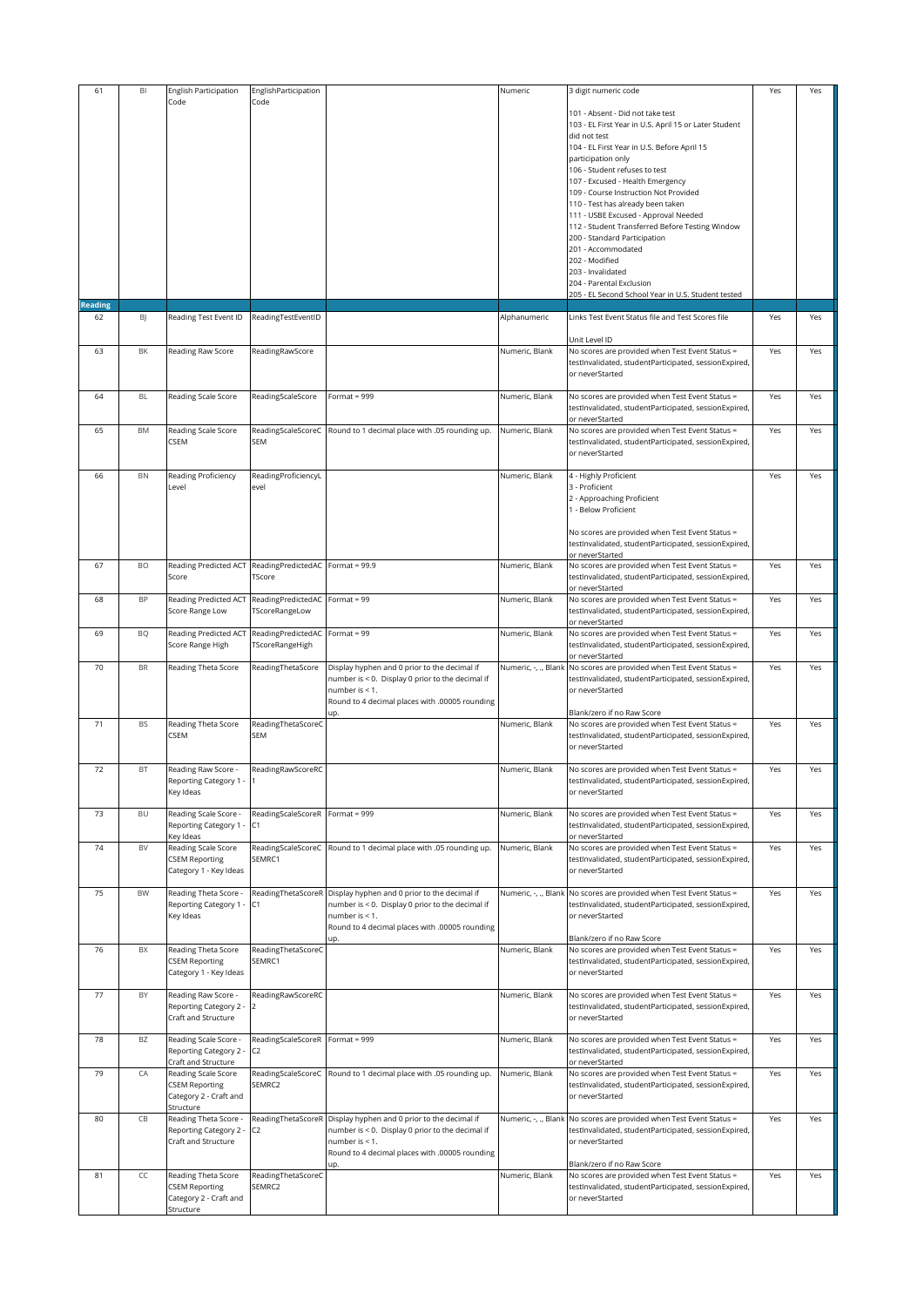| 61             | BI        | English Participation                         | EnglishParticipation                  |                                                                                                  | Numeric              | 3 digit numeric code                                                                                     | Yes | Yes |
|----------------|-----------|-----------------------------------------------|---------------------------------------|--------------------------------------------------------------------------------------------------|----------------------|----------------------------------------------------------------------------------------------------------|-----|-----|
|                |           | Code                                          | Code                                  |                                                                                                  |                      |                                                                                                          |     |     |
|                |           |                                               |                                       |                                                                                                  |                      | 101 - Absent - Did not take test<br>103 - EL First Year in U.S. April 15 or Later Student                |     |     |
|                |           |                                               |                                       |                                                                                                  |                      | did not test                                                                                             |     |     |
|                |           |                                               |                                       |                                                                                                  |                      | 104 - EL First Year in U.S. Before April 15                                                              |     |     |
|                |           |                                               |                                       |                                                                                                  |                      | participation only                                                                                       |     |     |
|                |           |                                               |                                       |                                                                                                  |                      | 106 - Student refuses to test                                                                            |     |     |
|                |           |                                               |                                       |                                                                                                  |                      | 107 - Excused - Health Emergency<br>109 - Course Instruction Not Provided                                |     |     |
|                |           |                                               |                                       |                                                                                                  |                      | 110 - Test has already been taken                                                                        |     |     |
|                |           |                                               |                                       |                                                                                                  |                      | 111 - USBE Excused - Approval Needed                                                                     |     |     |
|                |           |                                               |                                       |                                                                                                  |                      | 112 - Student Transferred Before Testing Window                                                          |     |     |
|                |           |                                               |                                       |                                                                                                  |                      | 200 - Standard Participation                                                                             |     |     |
|                |           |                                               |                                       |                                                                                                  |                      | 201 - Accommodated<br>202 - Modified                                                                     |     |     |
|                |           |                                               |                                       |                                                                                                  |                      | 203 - Invalidated                                                                                        |     |     |
|                |           |                                               |                                       |                                                                                                  |                      | 204 - Parental Exclusion                                                                                 |     |     |
| <b>Reading</b> |           |                                               |                                       |                                                                                                  |                      | 205 - EL Second School Year in U.S. Student tested                                                       |     |     |
| 62             | <b>B</b>  | Reading Test Event ID                         | ReadingTestEventID                    |                                                                                                  | Alphanumeric         | Links Test Event Status file and Test Scores file                                                        | Yes | Yes |
|                |           |                                               |                                       |                                                                                                  |                      |                                                                                                          |     |     |
|                |           |                                               |                                       |                                                                                                  |                      | Unit Level ID                                                                                            |     |     |
| 63             | BK        | Reading Raw Score                             | ReadingRawScore                       |                                                                                                  | Numeric, Blank       | No scores are provided when Test Event Status =<br>testInvalidated, studentParticipated, sessionExpired, | Yes | Yes |
|                |           |                                               |                                       |                                                                                                  |                      | or neverStarted                                                                                          |     |     |
|                |           |                                               |                                       |                                                                                                  |                      |                                                                                                          |     |     |
| 64             | <b>BL</b> | Reading Scale Score                           | ReadingScaleScore                     | Format = $999$                                                                                   | Numeric, Blank       | No scores are provided when Test Event Status =                                                          | Yes | Yes |
|                |           |                                               |                                       |                                                                                                  |                      | testInvalidated, studentParticipated, sessionExpired,<br>or neverStarted                                 |     |     |
| 65             | <b>BM</b> | Reading Scale Score                           | ReadingScaleScoreC                    | Round to 1 decimal place with .05 rounding up.                                                   | Numeric, Blank       | No scores are provided when Test Event Status =                                                          | Yes | Yes |
|                |           | CSEM                                          | SEM                                   |                                                                                                  |                      | testInvalidated, studentParticipated, sessionExpired,                                                    |     |     |
|                |           |                                               |                                       |                                                                                                  |                      | or neverStarted                                                                                          |     |     |
| 66             | BN        | Reading Proficiency                           | ReadingProficiencyL                   |                                                                                                  | Numeric, Blank       | 4 - Highly Proficient                                                                                    | Yes | Yes |
|                |           | Level                                         | evel                                  |                                                                                                  |                      | 3 - Proficient                                                                                           |     |     |
|                |           |                                               |                                       |                                                                                                  |                      | 2 - Approaching Proficient                                                                               |     |     |
|                |           |                                               |                                       |                                                                                                  |                      | 1 - Below Proficient                                                                                     |     |     |
|                |           |                                               |                                       |                                                                                                  |                      |                                                                                                          |     |     |
|                |           |                                               |                                       |                                                                                                  |                      | No scores are provided when Test Event Status =<br>testInvalidated, studentParticipated, sessionExpired, |     |     |
|                |           |                                               |                                       |                                                                                                  |                      | or neverStarted                                                                                          |     |     |
| 67             | BO        | Reading Predicted ACT                         | ReadingPredictedAC                    | Format = $99.9$                                                                                  | Numeric, Blank       | No scores are provided when Test Event Status =                                                          | Yes | Yes |
|                |           | Score                                         | TScore                                |                                                                                                  |                      | testInvalidated, studentParticipated, sessionExpired,<br>or neverStarted                                 |     |     |
| 68             | BP        | Reading Predicted ACT                         | ReadingPredictedAC                    | Format = $99$                                                                                    | Numeric, Blank       | No scores are provided when Test Event Status =                                                          | Yes | Yes |
|                |           | Score Range Low                               | TScoreRangeLow                        |                                                                                                  |                      | testInvalidated, studentParticipated, sessionExpired,                                                    |     |     |
|                |           |                                               |                                       |                                                                                                  |                      | or neverStarted                                                                                          |     |     |
| 69             | BQ        | Reading Predicted ACT<br>Score Range High     | ReadingPredictedAC<br>TScoreRangeHigh | Format = $99$                                                                                    | Numeric, Blank       | No scores are provided when Test Event Status =<br>testInvalidated, studentParticipated, sessionExpired, | Yes | Yes |
|                |           |                                               |                                       |                                                                                                  |                      | or neverStarted                                                                                          |     |     |
| 70             | BR        | Reading Theta Score                           | ReadingThetaScore                     | Display hyphen and 0 prior to the decimal if                                                     | Numeric, -, ., Blank | No scores are provided when Test Event Status =                                                          | Yes | Yes |
|                |           |                                               |                                       | number is < 0. Display 0 prior to the decimal if<br>number is < 1.                               |                      | testInvalidated, studentParticipated, sessionExpired,<br>or neverStarted                                 |     |     |
|                |           |                                               |                                       | Round to 4 decimal places with .00005 rounding                                                   |                      |                                                                                                          |     |     |
|                |           |                                               |                                       | up.                                                                                              |                      | Blank/zero if no Raw Score                                                                               |     |     |
| 71             | <b>BS</b> | Reading Theta Score<br>CSEM                   | ReadingThetaScoreC<br>SEM             |                                                                                                  | Numeric, Blank       | No scores are provided when Test Event Status =                                                          | Yes | Yes |
|                |           |                                               |                                       |                                                                                                  |                      | testInvalidated, studentParticipated, sessionExpired,<br>or neverStarted                                 |     |     |
|                |           |                                               |                                       |                                                                                                  |                      |                                                                                                          |     |     |
| 72             | BT        | Reading Raw Score -                           | ReadingRawScoreRC                     |                                                                                                  | Numeric, Blank       | No scores are provided when Test Event Status =                                                          | Yes | Yes |
|                |           | Reporting Category 1 - 1<br>Key Ideas         |                                       |                                                                                                  |                      | testlnvalidated, studentParticipated, sessionExpired,<br>or neverStarted                                 |     |     |
|                |           |                                               |                                       |                                                                                                  |                      |                                                                                                          |     |     |
| 73             | BU        | Reading Scale Score -                         | ReadingScaleScoreR                    | Format = $999$                                                                                   | Numeric, Blank       | No scores are provided when Test Event Status =                                                          | Yes | Yes |
|                |           | Reporting Category 1                          | C1                                    |                                                                                                  |                      | testInvalidated, studentParticipated, sessionExpired,                                                    |     |     |
| 74             | BV        | Key Ideas<br>Reading Scale Score              | ReadingScaleScoreC                    | Round to 1 decimal place with .05 rounding up.                                                   | Numeric, Blank       | or neverStarted<br>No scores are provided when Test Event Status =                                       | Yes | Yes |
|                |           | <b>CSEM Reporting</b>                         | SEMRC1                                |                                                                                                  |                      | testInvalidated, studentParticipated, sessionExpired,                                                    |     |     |
|                |           | Category 1 - Key Ideas                        |                                       |                                                                                                  |                      | or neverStarted                                                                                          |     |     |
|                |           |                                               |                                       |                                                                                                  |                      |                                                                                                          |     |     |
| 75             | BW        | Reading Theta Score<br>Reporting Category 1   | ReadingThetaScoreR<br>C1              | Display hyphen and 0 prior to the decimal if<br>number is < 0. Display 0 prior to the decimal if | Numeric, -, ., Blank | No scores are provided when Test Event Status =<br>testInvalidated, studentParticipated, sessionExpired, | Yes | Yes |
|                |           | Key Ideas                                     |                                       | number is < 1.                                                                                   |                      | or neverStarted                                                                                          |     |     |
|                |           |                                               |                                       | Round to 4 decimal places with .00005 rounding                                                   |                      |                                                                                                          |     |     |
|                |           |                                               |                                       | up.                                                                                              |                      | Blank/zero if no Raw Score                                                                               |     |     |
| 76             | BX        | Reading Theta Score<br><b>CSEM Reporting</b>  | ReadingThetaScoreC<br>SEMRC1          |                                                                                                  | Numeric, Blank       | No scores are provided when Test Event Status =<br>testInvalidated, studentParticipated, sessionExpired, | Yes | Yes |
|                |           | Category 1 - Key Ideas                        |                                       |                                                                                                  |                      | or neverStarted                                                                                          |     |     |
|                |           |                                               |                                       |                                                                                                  |                      |                                                                                                          |     |     |
| 77             | BY        | Reading Raw Score -<br>Reporting Category 2 - | ReadingRawScoreRC<br>2                |                                                                                                  | Numeric, Blank       | No scores are provided when Test Event Status =<br>testInvalidated, studentParticipated, sessionExpired, | Yes | Yes |
|                |           | Craft and Structure                           |                                       |                                                                                                  |                      | or neverStarted                                                                                          |     |     |
|                |           |                                               |                                       |                                                                                                  |                      |                                                                                                          |     |     |
| 78             | BZ        | Reading Scale Score -                         | ReadingScaleScoreR                    | Format = $999$                                                                                   | Numeric, Blank       | No scores are provided when Test Event Status =                                                          | Yes | Yes |
|                |           | Reporting Category 2 -<br>Craft and Structure | C <sub>2</sub>                        |                                                                                                  |                      | testInvalidated, studentParticipated, sessionExpired,<br>or neverStarted                                 |     |     |
| 79             | CA        | Reading Scale Score                           | ReadingScaleScoreC                    | Round to 1 decimal place with .05 rounding up.                                                   | Numeric, Blank       | No scores are provided when Test Event Status =                                                          | Yes | Yes |
|                |           | <b>CSEM Reporting</b>                         | SEMRC2                                |                                                                                                  |                      | testInvalidated, studentParticipated, sessionExpired,                                                    |     |     |
|                |           | Category 2 - Craft and                        |                                       |                                                                                                  |                      | or neverStarted                                                                                          |     |     |
| 80             | CB        | Structure<br>Reading Theta Score -            | ReadingThetaScoreR                    | Display hyphen and 0 prior to the decimal if                                                     | Numeric, -, ., Blank | No scores are provided when Test Event Status =                                                          | Yes | Yes |
|                |           | Reporting Category 2 -                        | C2                                    | number is < 0. Display 0 prior to the decimal if                                                 |                      | testInvalidated, studentParticipated, sessionExpired,                                                    |     |     |
|                |           | Craft and Structure                           |                                       | number is < 1.                                                                                   |                      | or neverStarted                                                                                          |     |     |
|                |           |                                               |                                       | Round to 4 decimal places with .00005 rounding                                                   |                      | Blank/zero if no Raw Score                                                                               |     |     |
| 81             | CC        | Reading Theta Score                           | ReadingThetaScoreC                    | up.                                                                                              | Numeric, Blank       | No scores are provided when Test Event Status =                                                          | Yes | Yes |
|                |           | <b>CSEM Reporting</b>                         | SEMRC2                                |                                                                                                  |                      | testInvalidated, studentParticipated, sessionExpired,                                                    |     |     |
|                |           | Category 2 - Craft and                        |                                       |                                                                                                  |                      | or neverStarted                                                                                          |     |     |
|                |           | Structure                                     |                                       |                                                                                                  |                      |                                                                                                          |     |     |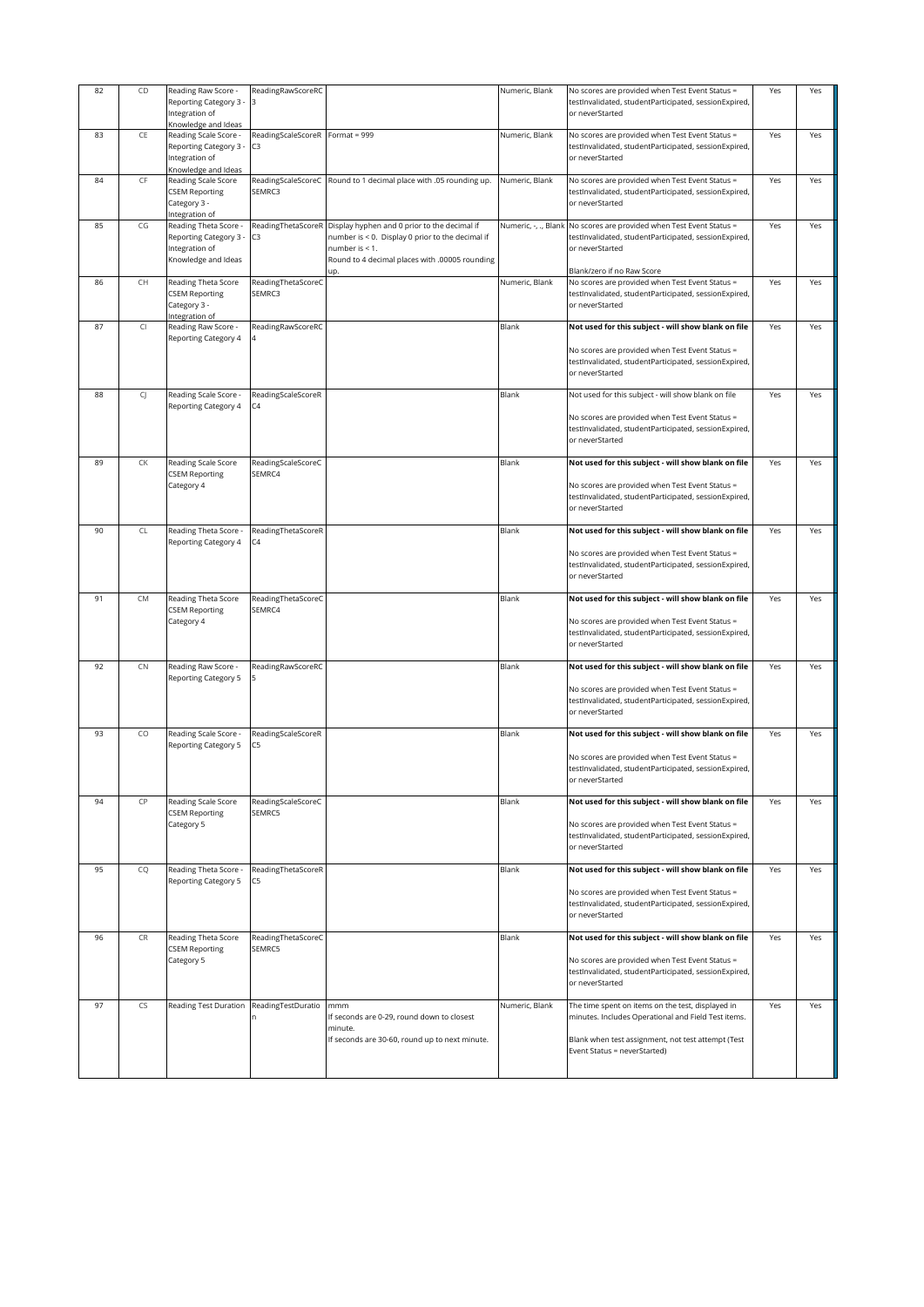| 82 | CD         | Reading Raw Score -<br>Reporting Category 3 -<br>Integration of<br>Knowledge and Ideas   | ReadingRawScoreRC                     |                                                                                                                                                                             | Numeric, Blank       | No scores are provided when Test Event Status =<br>testInvalidated, studentParticipated, sessionExpired,<br>or neverStarted                                                                    | Yes | Yes |
|----|------------|------------------------------------------------------------------------------------------|---------------------------------------|-----------------------------------------------------------------------------------------------------------------------------------------------------------------------------|----------------------|------------------------------------------------------------------------------------------------------------------------------------------------------------------------------------------------|-----|-----|
| 83 | CE         | Reading Scale Score -<br>Reporting Category 3 -<br>Integration of<br>Knowledge and Ideas | ReadingScaleScoreR Format = 999<br>C3 |                                                                                                                                                                             | Numeric, Blank       | No scores are provided when Test Event Status =<br>testInvalidated, studentParticipated, sessionExpired,<br>or neverStarted                                                                    | Yes | Yes |
| 84 | CF         | Reading Scale Score<br><b>CSEM Reporting</b><br>Category 3 -<br>Integration of           | ReadingScaleScoreC<br>SEMRC3          | Round to 1 decimal place with .05 rounding up.                                                                                                                              | Numeric, Blank       | No scores are provided when Test Event Status =<br>testInvalidated, studentParticipated, sessionExpired,<br>or neverStarted                                                                    | Yes | Yes |
| 85 | CG         | Reading Theta Score -<br>Reporting Category 3<br>Integration of<br>Knowledge and Ideas   | ReadingThetaScoreR<br>C3              | Display hyphen and 0 prior to the decimal if<br>number is < 0. Display 0 prior to the decimal if<br>number is < 1.<br>Round to 4 decimal places with .00005 rounding<br>up. | Numeric, -, ., Blank | No scores are provided when Test Event Status =<br>testInvalidated, studentParticipated, sessionExpired,<br>or neverStarted<br>Blank/zero if no Raw Score                                      | Yes | Yes |
| 86 | CH         | Reading Theta Score<br><b>CSEM Reporting</b><br>Category 3 -<br>Integration of           | ReadingThetaScoreC<br>SEMRC3          |                                                                                                                                                                             | Numeric, Blank       | No scores are provided when Test Event Status =<br>testInvalidated, studentParticipated, sessionExpired,<br>or neverStarted                                                                    | Yes | Yes |
| 87 | CI.        | Reading Raw Score -<br>Reporting Category 4                                              | ReadingRawScoreRC                     |                                                                                                                                                                             | Blank                | Not used for this subject - will show blank on file<br>No scores are provided when Test Event Status =<br>testInvalidated, studentParticipated, sessionExpired,<br>or neverStarted             | Yes | Yes |
| 88 | CJ         | Reading Scale Score -<br>Reporting Category 4                                            | ReadingScaleScoreR<br>۵4              |                                                                                                                                                                             | Blank                | Not used for this subject - will show blank on file<br>No scores are provided when Test Event Status =<br>testInvalidated, studentParticipated, sessionExpired,<br>or neverStarted             | Yes | Yes |
| 89 | CK         | Reading Scale Score<br><b>CSEM Reporting</b><br>Category 4                               | ReadingScaleScoreC<br>SEMRC4          |                                                                                                                                                                             | Blank                | Not used for this subject - will show blank on file<br>No scores are provided when Test Event Status =<br>testInvalidated, studentParticipated, sessionExpired,<br>or neverStarted             | Yes | Yes |
| 90 | CL         | Reading Theta Score -<br>Reporting Category 4                                            | ReadingThetaScoreR<br>C4              |                                                                                                                                                                             | Blank                | Not used for this subject - will show blank on file<br>No scores are provided when Test Event Status =<br>testInvalidated, studentParticipated, sessionExpired,<br>or neverStarted             | Yes | Yes |
| 91 | CM         | Reading Theta Score<br><b>CSEM Reporting</b><br>Category 4                               | ReadingThetaScoreC<br>SEMRC4          |                                                                                                                                                                             | Blank                | Not used for this subject - will show blank on file<br>No scores are provided when Test Event Status =<br>testInvalidated, studentParticipated, sessionExpired,<br>or neverStarted             | Yes | Yes |
| 92 | CN         | Reading Raw Score -<br>Reporting Category 5                                              | ReadingRawScoreRC                     |                                                                                                                                                                             | Blank                | Not used for this subject - will show blank on file<br>No scores are provided when Test Event Status =<br>testInvalidated, studentParticipated, sessionExpired,<br>or neverStarted             | Yes | Yes |
| 93 | CO         | Reading Scale Score -<br><b>Reporting Category 5</b>                                     | ReadingScaleScoreR<br>C5              |                                                                                                                                                                             | Blank                | Not used for this subject - will show blank on file<br>No scores are provided when Test Event Status =<br>testInvalidated, studentParticipated, sessionExpired,<br>or neverStarted             | Yes | Yes |
| 94 | CP         | Reading Scale Score<br><b>CSEM Reporting</b><br>Category 5                               | ReadingScaleScoreC<br>SEMRC5          |                                                                                                                                                                             | Blank                | Not used for this subject - will show blank on file<br>No scores are provided when Test Event Status =<br>testInvalidated, studentParticipated, sessionExpired,<br>or neverStarted             | Yes | Yes |
| 95 | CQ         | Reading Theta Score -<br>Reporting Category 5                                            | ReadingThetaScoreR<br>35              |                                                                                                                                                                             | Blank                | Not used for this subject - will show blank on file<br>No scores are provided when Test Event Status =<br>testInvalidated, studentParticipated, sessionExpired,<br>or neverStarted             | Yes | Yes |
| 96 | ${\sf CR}$ | Reading Theta Score<br><b>CSEM Reporting</b><br>Category 5                               | ReadingThetaScoreC<br>SEMRC5          |                                                                                                                                                                             | Blank                | Not used for this subject - will show blank on file<br>No scores are provided when Test Event Status =<br>testInvalidated, studentParticipated, sessionExpired,<br>or neverStarted             | Yes | Yes |
| 97 | CS         | Reading Test Duration                                                                    | ReadingTestDuratio                    | mmm<br>If seconds are 0-29, round down to closest<br>minute.<br>If seconds are 30-60, round up to next minute.                                                              | Numeric, Blank       | The time spent on items on the test, displayed in<br>minutes. Includes Operational and Field Test items.<br>Blank when test assignment, not test attempt (Test<br>Event Status = neverStarted) | Yes | Yes |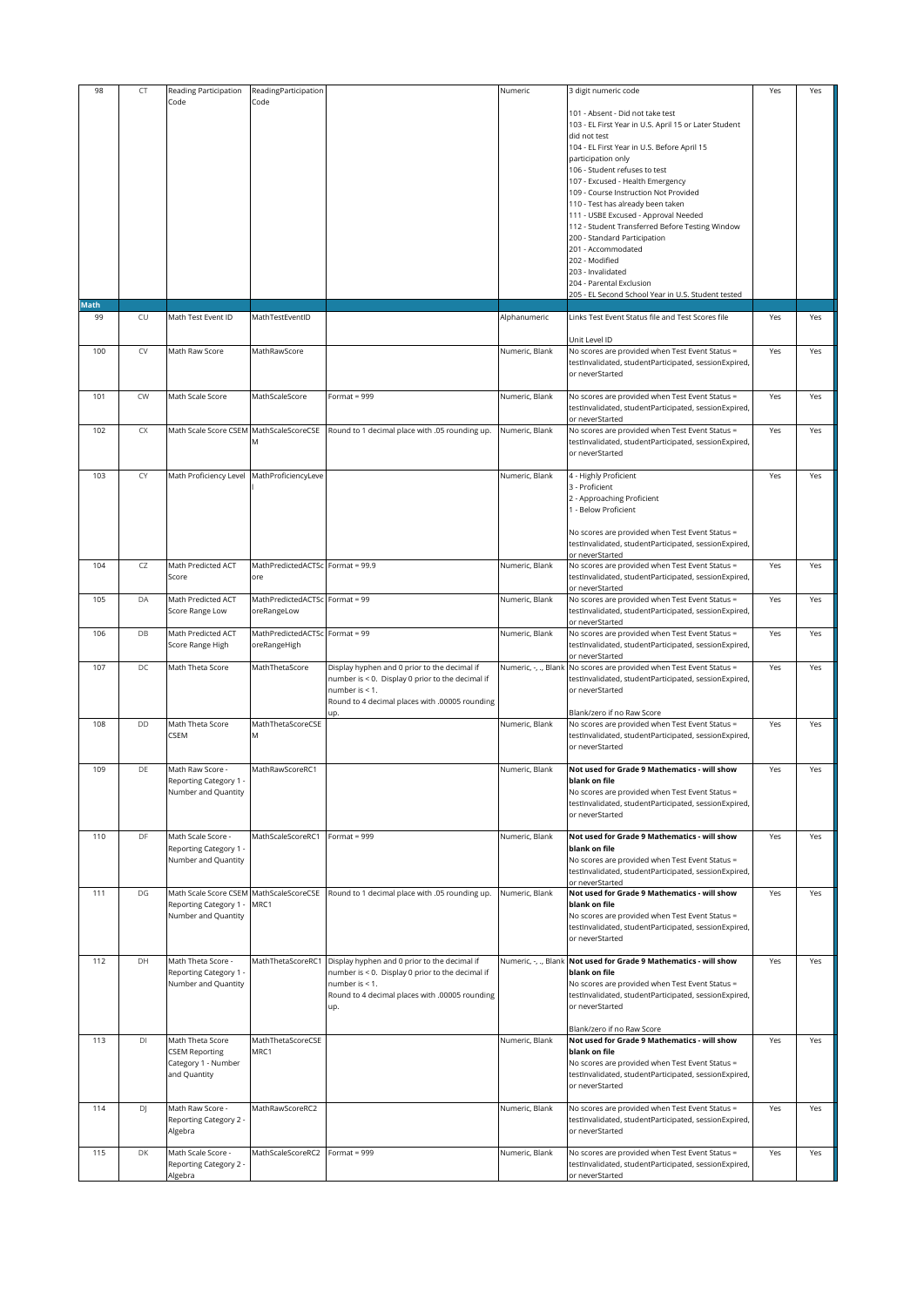| 98   | CT        | Reading Participation                       | ReadingParticipation             |                                                                    | Numeric              | 3 digit numeric code                                                                                     | Yes | Yes |
|------|-----------|---------------------------------------------|----------------------------------|--------------------------------------------------------------------|----------------------|----------------------------------------------------------------------------------------------------------|-----|-----|
|      |           | Code                                        | Code                             |                                                                    |                      | 101 - Absent - Did not take test                                                                         |     |     |
|      |           |                                             |                                  |                                                                    |                      | 103 - EL First Year in U.S. April 15 or Later Student                                                    |     |     |
|      |           |                                             |                                  |                                                                    |                      | did not test                                                                                             |     |     |
|      |           |                                             |                                  |                                                                    |                      | 104 - EL First Year in U.S. Before April 15                                                              |     |     |
|      |           |                                             |                                  |                                                                    |                      | participation only                                                                                       |     |     |
|      |           |                                             |                                  |                                                                    |                      | 106 - Student refuses to test<br>107 - Excused - Health Emergency                                        |     |     |
|      |           |                                             |                                  |                                                                    |                      | 109 - Course Instruction Not Provided                                                                    |     |     |
|      |           |                                             |                                  |                                                                    |                      | 110 - Test has already been taken                                                                        |     |     |
|      |           |                                             |                                  |                                                                    |                      | 111 - USBE Excused - Approval Needed                                                                     |     |     |
|      |           |                                             |                                  |                                                                    |                      | 112 - Student Transferred Before Testing Window<br>200 - Standard Participation                          |     |     |
|      |           |                                             |                                  |                                                                    |                      | 201 - Accommodated                                                                                       |     |     |
|      |           |                                             |                                  |                                                                    |                      | 202 - Modified                                                                                           |     |     |
|      |           |                                             |                                  |                                                                    |                      | 203 - Invalidated<br>204 - Parental Exclusion                                                            |     |     |
|      |           |                                             |                                  |                                                                    |                      | 205 - EL Second School Year in U.S. Student tested                                                       |     |     |
| Math |           |                                             |                                  |                                                                    |                      |                                                                                                          |     |     |
| 99   | CU        | Math Test Event ID                          | MathTestEventID                  |                                                                    | Alphanumeric         | Links Test Event Status file and Test Scores file                                                        | Yes | Yes |
|      |           |                                             |                                  |                                                                    |                      | Unit Level ID                                                                                            |     |     |
| 100  | CV        | Math Raw Score                              | MathRawScore                     |                                                                    | Numeric, Blank       | No scores are provided when Test Event Status =                                                          | Yes | Yes |
|      |           |                                             |                                  |                                                                    |                      | testInvalidated, studentParticipated, sessionExpired,                                                    |     |     |
|      |           |                                             |                                  |                                                                    |                      | or neverStarted                                                                                          |     |     |
| 101  | CW        | Math Scale Score                            | MathScaleScore                   | Format = 999                                                       | Numeric, Blank       | No scores are provided when Test Event Status =                                                          | Yes | Yes |
|      |           |                                             |                                  |                                                                    |                      | testInvalidated, studentParticipated, sessionExpired,                                                    |     |     |
|      |           |                                             |                                  |                                                                    |                      | or neverStarted                                                                                          |     |     |
| 102  | <b>CX</b> | Math Scale Score CSEM MathScaleScoreCSE     | M                                | Round to 1 decimal place with .05 rounding up.                     | Numeric, Blank       | No scores are provided when Test Event Status =<br>testInvalidated, studentParticipated, sessionExpired, | Yes | Yes |
|      |           |                                             |                                  |                                                                    |                      | or neverStarted                                                                                          |     |     |
|      |           |                                             |                                  |                                                                    |                      |                                                                                                          |     |     |
| 103  | CY        | Math Proficiency Level                      | MathProficiencyLeve              |                                                                    | Numeric, Blank       | 4 - Highly Proficient                                                                                    | Yes | Yes |
|      |           |                                             |                                  |                                                                    |                      | 3 - Proficient<br>2 - Approaching Proficient                                                             |     |     |
|      |           |                                             |                                  |                                                                    |                      | 1 - Below Proficient                                                                                     |     |     |
|      |           |                                             |                                  |                                                                    |                      |                                                                                                          |     |     |
|      |           |                                             |                                  |                                                                    |                      | No scores are provided when Test Event Status =                                                          |     |     |
|      |           |                                             |                                  |                                                                    |                      | testInvalidated, studentParticipated, sessionExpired,<br>or neverStarted                                 |     |     |
| 104  | CZ        | Math Predicted ACT                          | MathPredictedACTSc Format = 99.9 |                                                                    | Numeric, Blank       | No scores are provided when Test Event Status =                                                          | Yes | Yes |
|      |           | Score                                       | ore                              |                                                                    |                      | testInvalidated, studentParticipated, sessionExpired,                                                    |     |     |
| 105  | DA        | Math Predicted ACT                          | MathPredictedACTSc Format = 99   |                                                                    | Numeric, Blank       | or neverStarted                                                                                          | Yes | Yes |
|      |           | Score Range Low                             | oreRangeLow                      |                                                                    |                      | No scores are provided when Test Event Status =<br>testInvalidated, studentParticipated, sessionExpired, |     |     |
|      |           |                                             |                                  |                                                                    |                      | or neverStarted                                                                                          |     |     |
| 106  | DB        | Math Predicted ACT                          | MathPredictedACTSc Format = 99   |                                                                    | Numeric, Blank       | No scores are provided when Test Event Status =                                                          | Yes | Yes |
|      |           | Score Range High                            | oreRangeHigh                     |                                                                    |                      | testInvalidated, studentParticipated, sessionExpired,<br>or neverStarted                                 |     |     |
| 107  | DC        | Math Theta Score                            | MathThetaScore                   | Display hyphen and 0 prior to the decimal if                       | Numeric, -, ., Blank | No scores are provided when Test Event Status =                                                          | Yes | Yes |
|      |           |                                             |                                  | number is < 0. Display 0 prior to the decimal if                   |                      | testInvalidated, studentParticipated, sessionExpired,                                                    |     |     |
|      |           |                                             |                                  | number is < 1.                                                     |                      | or neverStarted                                                                                          |     |     |
|      |           |                                             |                                  | Round to 4 decimal places with .00005 rounding<br>JD.              |                      | Blank/zero if no Raw Score                                                                               |     |     |
| 108  | DD        | Math Theta Score                            | MathThetaScoreCSE                |                                                                    | Numeric, Blank       | No scores are provided when Test Event Status =                                                          | Yes | Yes |
|      |           | CSEM                                        | M                                |                                                                    |                      | testInvalidated, studentParticipated, sessionExpired,                                                    |     |     |
|      |           |                                             |                                  |                                                                    |                      | or neverStarted                                                                                          |     |     |
| 109  | DE        | Math Raw Score -                            | MathRawScoreRC1                  |                                                                    | Numeric, Blank       | Not used for Grade 9 Mathematics - will show                                                             | Yes | Yes |
|      |           | Reporting Category 1 -                      |                                  |                                                                    |                      | blank on file                                                                                            |     |     |
|      |           | Number and Quantity                         |                                  |                                                                    |                      | No scores are provided when Test Event Status =                                                          |     |     |
|      |           |                                             |                                  |                                                                    |                      | testInvalidated, studentParticipated, sessionExpired,<br>or neverStarted                                 |     |     |
|      |           |                                             |                                  |                                                                    |                      |                                                                                                          |     |     |
| 110  | DF        | Math Scale Score -                          | MathScaleScoreRC1                | Format = $999$                                                     | Numeric, Blank       | Not used for Grade 9 Mathematics - will show                                                             | Yes | Yes |
|      |           | Reporting Category 1 -                      |                                  |                                                                    |                      | blank on file                                                                                            |     |     |
|      |           | Number and Quantity                         |                                  |                                                                    |                      | No scores are provided when Test Event Status =<br>testInvalidated, studentParticipated, sessionExpired, |     |     |
|      |           |                                             |                                  |                                                                    |                      | or neverStarted                                                                                          |     |     |
| 111  | DG        | Math Scale Score CSEM MathScaleScoreCSE     |                                  | Round to 1 decimal place with .05 rounding up.                     | Numeric, Blank       | Not used for Grade 9 Mathematics - will show                                                             | Yes | Yes |
|      |           | Reporting Category 1 .                      | MRC1                             |                                                                    |                      | blank on file                                                                                            |     |     |
|      |           | Number and Quantity                         |                                  |                                                                    |                      | No scores are provided when Test Event Status =<br>testInvalidated, studentParticipated, sessionExpired, |     |     |
|      |           |                                             |                                  |                                                                    |                      | or neverStarted                                                                                          |     |     |
|      |           |                                             |                                  |                                                                    |                      |                                                                                                          |     |     |
| 112  | DH        | Math Theta Score -                          | MathThetaScoreRC1                | Display hyphen and 0 prior to the decimal if                       | Numeric, -, ., Blank | Not used for Grade 9 Mathematics - will show<br>blank on file                                            | Yes | Yes |
|      |           | Reporting Category 1<br>Number and Quantity |                                  | number is < 0. Display 0 prior to the decimal if<br>number is < 1. |                      | No scores are provided when Test Event Status =                                                          |     |     |
|      |           |                                             |                                  | Round to 4 decimal places with .00005 rounding                     |                      | testInvalidated, studentParticipated, sessionExpired,                                                    |     |     |
|      |           |                                             |                                  | up.                                                                |                      | or neverStarted                                                                                          |     |     |
|      |           |                                             |                                  |                                                                    |                      | Blank/zero if no Raw Score                                                                               |     |     |
| 113  | DI        | Math Theta Score                            | MathThetaScoreCSE                |                                                                    | Numeric, Blank       | Not used for Grade 9 Mathematics - will show                                                             | Yes | Yes |
|      |           | <b>CSEM Reporting</b>                       | MRC1                             |                                                                    |                      | blank on file                                                                                            |     |     |
|      |           | Category 1 - Number                         |                                  |                                                                    |                      | No scores are provided when Test Event Status =                                                          |     |     |
|      |           | and Quantity                                |                                  |                                                                    |                      | testInvalidated, studentParticipated, sessionExpired,<br>or neverStarted                                 |     |     |
|      |           |                                             |                                  |                                                                    |                      |                                                                                                          |     |     |
| 114  | DJ        | Math Raw Score -                            | MathRawScoreRC2                  |                                                                    | Numeric, Blank       | No scores are provided when Test Event Status =                                                          | Yes | Yes |
|      |           | Reporting Category 2 -<br>Algebra           |                                  |                                                                    |                      | testInvalidated, studentParticipated, sessionExpired,<br>or neverStarted                                 |     |     |
|      |           |                                             |                                  |                                                                    |                      |                                                                                                          |     |     |
| 115  | DK        | Math Scale Score -                          | MathScaleScoreRC2                | Format = 999                                                       | Numeric, Blank       | No scores are provided when Test Event Status =                                                          | Yes | Yes |
|      |           | Reporting Category 2 -                      |                                  |                                                                    |                      | testInvalidated, studentParticipated, sessionExpired,                                                    |     |     |
|      |           | Algebra                                     |                                  |                                                                    |                      | or neverStarted                                                                                          |     |     |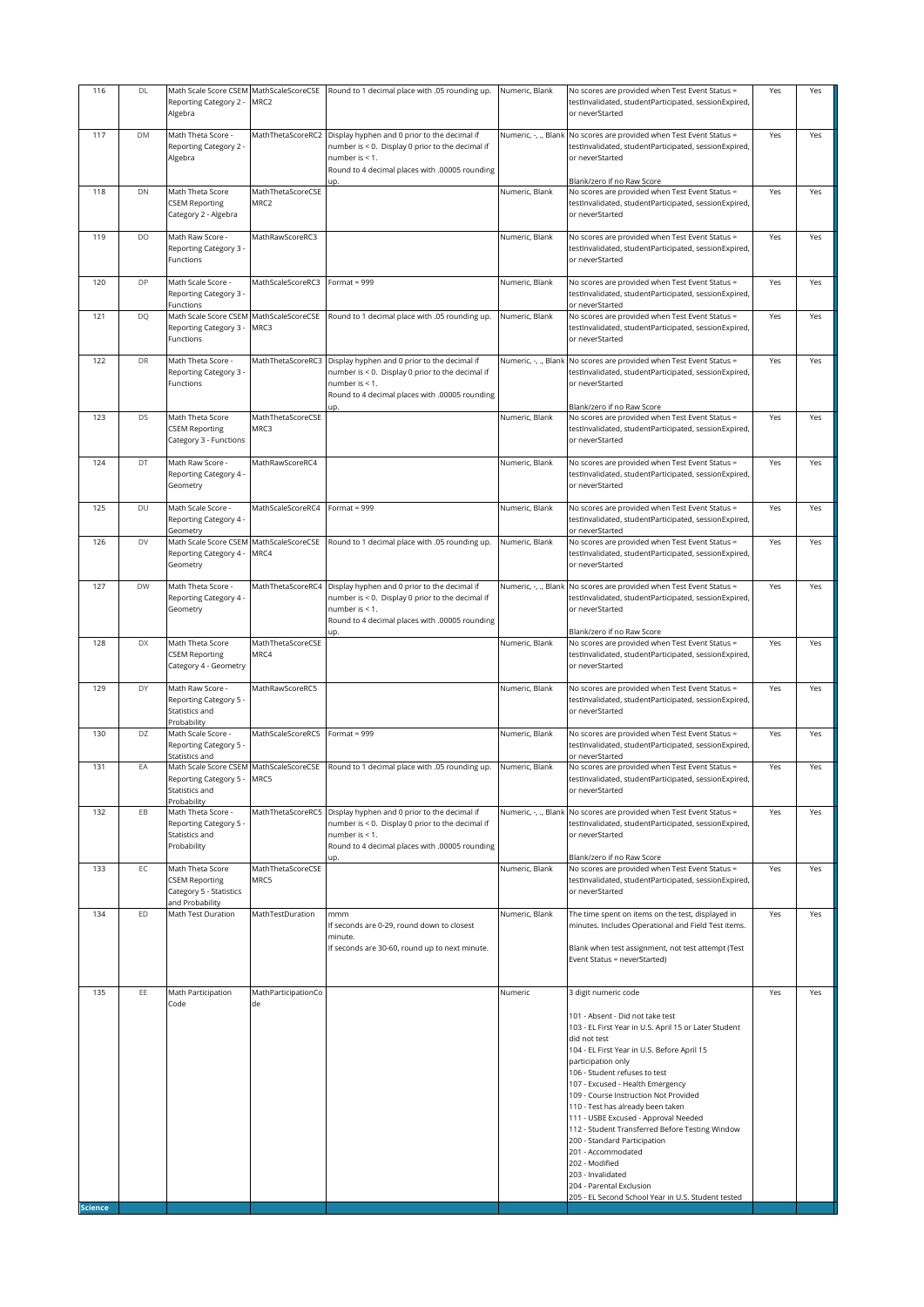| 116                   | DL        | Reporting Category 2 -<br>Algebra                                                       | MRC2                      | Math Scale Score CSEM MathScaleScoreCSE Round to 1 decimal place with .05 rounding up.                                                                                      | Numeric, Blank       | No scores are provided when Test Event Status =<br>testInvalidated, studentParticipated, sessionExpired,<br>or neverStarted                                                                                                                                                                                                                                                                                                                                                                                                                                                                                                         | Yes | Yes |
|-----------------------|-----------|-----------------------------------------------------------------------------------------|---------------------------|-----------------------------------------------------------------------------------------------------------------------------------------------------------------------------|----------------------|-------------------------------------------------------------------------------------------------------------------------------------------------------------------------------------------------------------------------------------------------------------------------------------------------------------------------------------------------------------------------------------------------------------------------------------------------------------------------------------------------------------------------------------------------------------------------------------------------------------------------------------|-----|-----|
| 117                   | DM        | Math Theta Score -<br>Reporting Category 2 -<br>Algebra                                 | MathThetaScoreRC2         | Display hyphen and 0 prior to the decimal if<br>number is < 0. Display 0 prior to the decimal if<br>number is < 1.<br>Round to 4 decimal places with .00005 rounding        | Numeric, -, ., Blank | No scores are provided when Test Event Status =<br>testInvalidated, studentParticipated, sessionExpired,<br>or neverStarted<br>Blank/zero if no Raw Score                                                                                                                                                                                                                                                                                                                                                                                                                                                                           | Yes | Yes |
| 118                   | DN        | Math Theta Score<br><b>CSEM Reporting</b><br>Category 2 - Algebra                       | MathThetaScoreCSE<br>MRC2 |                                                                                                                                                                             | Numeric, Blank       | No scores are provided when Test Event Status =<br>testInvalidated, studentParticipated, sessionExpired,<br>or neverStarted                                                                                                                                                                                                                                                                                                                                                                                                                                                                                                         | Yes | Yes |
| 119                   | <b>DO</b> | Math Raw Score -<br>Reporting Category 3<br>Functions                                   | MathRawScoreRC3           |                                                                                                                                                                             | Numeric, Blank       | No scores are provided when Test Event Status =<br>testInvalidated, studentParticipated, sessionExpired,<br>or neverStarted                                                                                                                                                                                                                                                                                                                                                                                                                                                                                                         | Yes | Yes |
| 120                   | DP        | Math Scale Score -<br>Reporting Category 3<br>Functions                                 | MathScaleScoreRC3         | Format = $999$                                                                                                                                                              | Numeric, Blank       | No scores are provided when Test Event Status =<br>testInvalidated, studentParticipated, sessionExpired,<br>or neverStarted                                                                                                                                                                                                                                                                                                                                                                                                                                                                                                         | Yes | Yes |
| 121                   | DQ        | Math Scale Score CSEM<br>Reporting Category 3<br>Functions                              | MathScaleScoreCSE<br>MRC3 | Round to 1 decimal place with .05 rounding up.                                                                                                                              | Numeric, Blank       | No scores are provided when Test Event Status =<br>testInvalidated, studentParticipated, sessionExpired,<br>or neverStarted                                                                                                                                                                                                                                                                                                                                                                                                                                                                                                         | Yes | Yes |
| 122                   | DR        | Math Theta Score -<br>Reporting Category 3<br>Functions                                 | MathThetaScoreRC3         | Display hyphen and 0 prior to the decimal if<br>number is < 0. Display 0 prior to the decimal if<br>number is < 1.<br>Round to 4 decimal places with .00005 rounding<br>JD. | Numeric, -, ., Blank | No scores are provided when Test Event Status =<br>testInvalidated, studentParticipated, sessionExpired,<br>or neverStarted<br>Blank/zero if no Raw Score                                                                                                                                                                                                                                                                                                                                                                                                                                                                           | Yes | Yes |
| 123                   | DS        | Math Theta Score<br><b>CSEM Reporting</b><br>Category 3 - Functions                     | MathThetaScoreCSE<br>MRC3 |                                                                                                                                                                             | Numeric, Blank       | No scores are provided when Test Event Status =<br>testInvalidated, studentParticipated, sessionExpired,<br>or neverStarted                                                                                                                                                                                                                                                                                                                                                                                                                                                                                                         | Yes | Yes |
| 124                   | DT        | Math Raw Score -<br>Reporting Category 4 -<br>Geometry                                  | MathRawScoreRC4           |                                                                                                                                                                             | Numeric, Blank       | No scores are provided when Test Event Status =<br>testInvalidated, studentParticipated, sessionExpired,<br>or neverStarted                                                                                                                                                                                                                                                                                                                                                                                                                                                                                                         | Yes | Yes |
| 125                   | DU        | Math Scale Score -<br>Reporting Category 4<br>Geometry                                  | MathScaleScoreRC4         | Format = 999                                                                                                                                                                | Numeric, Blank       | No scores are provided when Test Event Status =<br>testInvalidated, studentParticipated, sessionExpired,<br>or neverStarted                                                                                                                                                                                                                                                                                                                                                                                                                                                                                                         | Yes | Yes |
| 126                   | DV        | Math Scale Score CSEM<br>Reporting Category 4 -<br>Geometry                             | MathScaleScoreCSE<br>MRC4 | Round to 1 decimal place with .05 rounding up.                                                                                                                              | Numeric, Blank       | No scores are provided when Test Event Status =<br>testInvalidated, studentParticipated, sessionExpired,<br>or neverStarted                                                                                                                                                                                                                                                                                                                                                                                                                                                                                                         | Yes | Yes |
| 127                   | <b>DW</b> | Math Theta Score -<br>Reporting Category 4 -<br>Geometry                                | MathThetaScoreRC4         | Display hyphen and 0 prior to the decimal if<br>number is < 0. Display 0 prior to the decimal if<br>number is < 1.<br>Round to 4 decimal places with .00005 rounding<br>JD. | Numeric, -, ., Blank | No scores are provided when Test Event Status =<br>testInvalidated, studentParticipated, sessionExpired,<br>or neverStarted<br>Blank/zero if no Raw Score                                                                                                                                                                                                                                                                                                                                                                                                                                                                           | Yes | Yes |
| 128                   | DX        | Math Theta Score<br><b>CSEM Reporting</b><br>Category 4 - Geometry                      | MathThetaScoreCSE<br>MRC4 |                                                                                                                                                                             | Numeric, Blank       | No scores are provided when Test Event Status =<br>testInvalidated, studentParticipated, sessionExpired,<br>or neverStarted                                                                                                                                                                                                                                                                                                                                                                                                                                                                                                         | Yes | Yes |
| 129                   | DY        | Math Raw Score -<br>Reporting Category 5<br>Statistics and<br>Probability               | MathRawScoreRC5           |                                                                                                                                                                             | Numeric, Blank       | No scores are provided when Test Event Status =<br>testInvalidated, studentParticipated, sessionExpired,<br>or neverStarted                                                                                                                                                                                                                                                                                                                                                                                                                                                                                                         | Yes | Yes |
| 130                   | DZ        | Math Scale Score -<br>Reporting Category 5 -<br>Statistics and                          | MathScaleScoreRC5         | Format = 999                                                                                                                                                                | Numeric, Blank       | No scores are provided when Test Event Status =<br>testInvalidated, studentParticipated, sessionExpired,<br>or neverStarted                                                                                                                                                                                                                                                                                                                                                                                                                                                                                                         | Yes | Yes |
| 131                   | EA        | eporting Category 5 -<br>Statistics and<br>Probability                                  | MRC5                      | Math Scale Score CSEM MathScaleScoreCSE Round to 1 decimal place with .05 rounding up.                                                                                      | Numeric, Blank       | No scores are provided when Test Event Status =<br>testInvalidated, studentParticipated, sessionExpired<br>or neverStarted                                                                                                                                                                                                                                                                                                                                                                                                                                                                                                          | Yes | Yes |
| 132                   | EB        | Math Theta Score -<br>Reporting Category 5<br>Statistics and<br>Probability             | MathThetaScoreRC5         | Display hyphen and 0 prior to the decimal if<br>number is < 0. Display 0 prior to the decimal if<br>number is < 1.<br>Round to 4 decimal places with .00005 rounding        | Numeric, -, ., Blank | No scores are provided when Test Event Status =<br>testInvalidated, studentParticipated, sessionExpired,<br>or neverStarted                                                                                                                                                                                                                                                                                                                                                                                                                                                                                                         | Yes | Yes |
| 133                   | EC        | Math Theta Score<br><b>CSEM Reporting</b><br>Category 5 - Statistics<br>and Probability | MathThetaScoreCSE<br>MRC5 | up.                                                                                                                                                                         | Numeric, Blank       | Blank/zero if no Raw Score<br>No scores are provided when Test Event Status =<br>testInvalidated, studentParticipated, sessionExpired,<br>or neverStarted                                                                                                                                                                                                                                                                                                                                                                                                                                                                           | Yes | Yes |
| 134                   | ED        | Math Test Duration                                                                      | MathTestDuration          | mmm<br>If seconds are 0-29, round down to closest<br>minute.<br>If seconds are 30-60, round up to next minute.                                                              | Numeric, Blank       | The time spent on items on the test, displayed in<br>minutes. Includes Operational and Field Test items.<br>Blank when test assignment, not test attempt (Test<br>Event Status = neverStarted)                                                                                                                                                                                                                                                                                                                                                                                                                                      | Yes | Yes |
| 135<br><b>Science</b> | EE        | Math Participation<br>Code                                                              | MathParticipationCo<br>de |                                                                                                                                                                             | Numeric              | 3 digit numeric code<br>101 - Absent - Did not take test<br>103 - EL First Year in U.S. April 15 or Later Student<br>did not test<br>104 - EL First Year in U.S. Before April 15<br>participation only<br>106 - Student refuses to test<br>107 - Excused - Health Emergency<br>109 - Course Instruction Not Provided<br>110 - Test has already been taken<br>111 - USBE Excused - Approval Needed<br>112 - Student Transferred Before Testing Window<br>200 - Standard Participation<br>201 - Accommodated<br>202 - Modified<br>203 - Invalidated<br>204 - Parental Exclusion<br>205 - EL Second School Year in U.S. Student tested | Yes | Yes |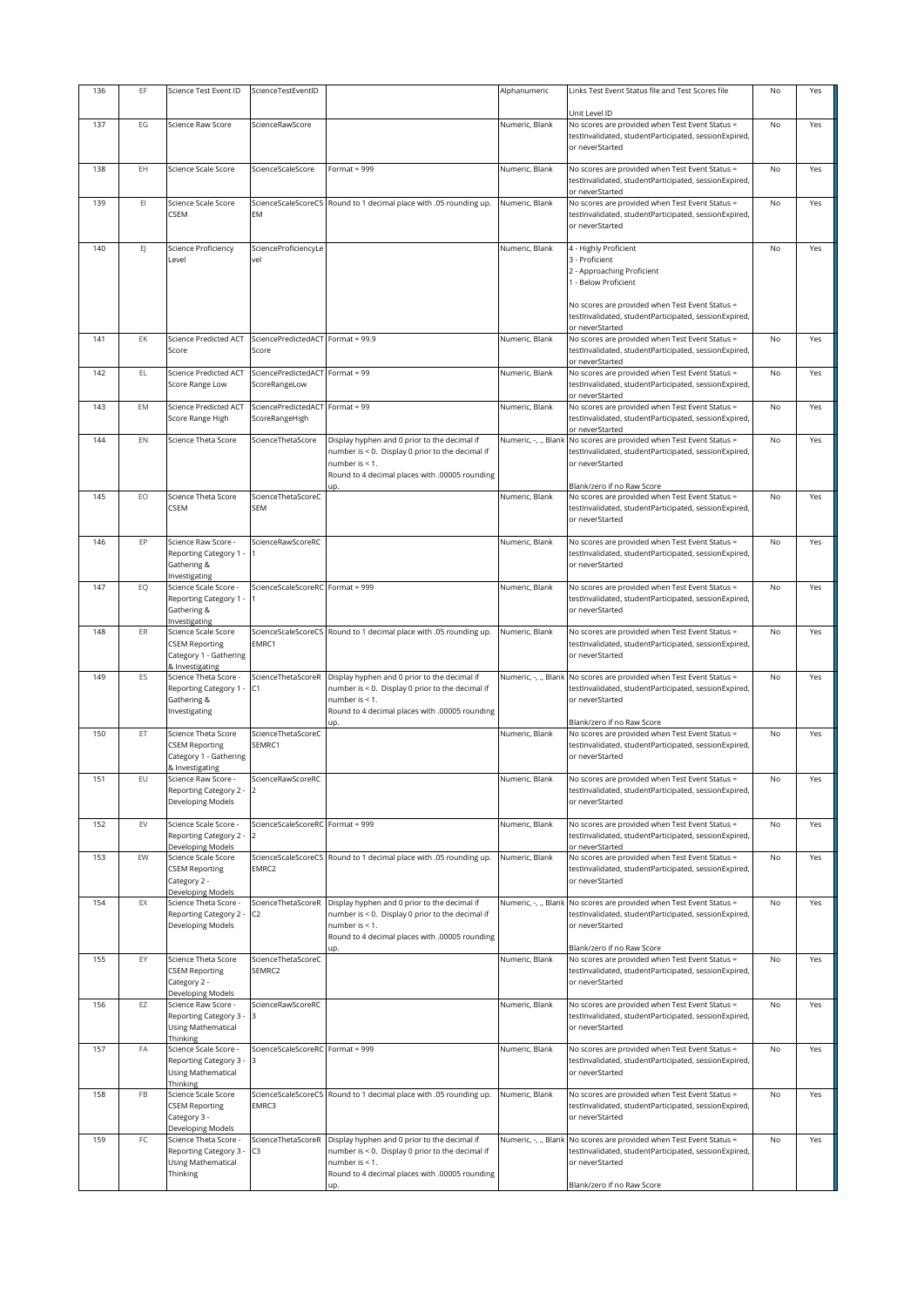| 136 | EF  | Science Test Event ID                                                                     | ScienceTestEventID                     |                                                                                                                                                                                | Alphanumeric         | Links Test Event Status file and Test Scores file                                                                                                                                                                            | No        | Yes |
|-----|-----|-------------------------------------------------------------------------------------------|----------------------------------------|--------------------------------------------------------------------------------------------------------------------------------------------------------------------------------|----------------------|------------------------------------------------------------------------------------------------------------------------------------------------------------------------------------------------------------------------------|-----------|-----|
|     |     |                                                                                           |                                        |                                                                                                                                                                                |                      | Unit Level ID                                                                                                                                                                                                                |           |     |
| 137 | EG  | Science Raw Score                                                                         | ScienceRawScore                        |                                                                                                                                                                                | Numeric, Blank       | No scores are provided when Test Event Status =<br>testInvalidated, studentParticipated, sessionExpired,<br>or neverStarted                                                                                                  | No        | Yes |
| 138 | EH  | Science Scale Score                                                                       | ScienceScaleScore                      | Format = $999$                                                                                                                                                                 | Numeric, Blank       | No scores are provided when Test Event Status =<br>testInvalidated, studentParticipated, sessionExpired,<br>or neverStarted                                                                                                  | No        | Yes |
| 139 | EI  | Science Scale Score<br>CSEM                                                               | EM                                     | ScienceScaleScoreCS Round to 1 decimal place with .05 rounding up.                                                                                                             | Numeric, Blank       | No scores are provided when Test Event Status =<br>testInvalidated, studentParticipated, sessionExpired,<br>or neverStarted                                                                                                  | No        | Yes |
| 140 | EJ. | Science Proficiency<br>Level                                                              | ScienceProficiencyLe<br>vel            |                                                                                                                                                                                | Numeric, Blank       | 4 - Highly Proficient<br>3 - Proficient<br>2 - Approaching Proficient<br>1 - Below Proficient<br>No scores are provided when Test Event Status =<br>testInvalidated, studentParticipated, sessionExpired,<br>or neverStarted | No        | Yes |
| 141 | EK  | <b>Science Predicted ACT</b><br>Score                                                     | SciencePredictedACT<br>Score           | Format = $99.9$                                                                                                                                                                | Numeric, Blank       | No scores are provided when Test Event Status =<br>testInvalidated, studentParticipated, sessionExpired,<br>or neverStarted                                                                                                  | No        | Yes |
| 142 | EL  | <b>Science Predicted ACT</b><br>Score Range Low                                           | SciencePredictedACT<br>ScoreRangeLow   | Format = $99$                                                                                                                                                                  | Numeric, Blank       | No scores are provided when Test Event Status =<br>testInvalidated, studentParticipated, sessionExpired,<br>or neverStarted                                                                                                  | No        | Yes |
| 143 | EM  | <b>Science Predicted ACT</b><br>Score Range High                                          | SciencePredictedACT<br>ScoreRangeHigh  | Format = 99                                                                                                                                                                    | Numeric, Blank       | No scores are provided when Test Event Status =<br>testInvalidated, studentParticipated, sessionExpired,<br>or neverStarted                                                                                                  | No        | Yes |
| 144 | EN  | Science Theta Score                                                                       | ScienceThetaScore                      | Display hyphen and 0 prior to the decimal if<br>number is < 0. Display 0 prior to the decimal if<br>number is $< 1$ .<br>Round to 4 decimal places with .00005 rounding<br>up. | Numeric, -, ., Blank | No scores are provided when Test Event Status =<br>testInvalidated, studentParticipated, sessionExpired,<br>or neverStarted<br>Blank/zero if no Raw Score                                                                    | No        | Yes |
| 145 | EO  | Science Theta Score<br>CSEM                                                               | ScienceThetaScoreC<br><b>SEM</b>       |                                                                                                                                                                                | Numeric, Blank       | No scores are provided when Test Event Status =<br>testInvalidated, studentParticipated, sessionExpired,<br>or neverStarted                                                                                                  | No        | Yes |
| 146 | EP  | Science Raw Score -<br>Reporting Category 1 -<br>Gathering &<br>Investigating             | ScienceRawScoreRC                      |                                                                                                                                                                                | Numeric, Blank       | No scores are provided when Test Event Status =<br>testinvalidated, studentParticipated, sessionExpired,<br>or neverStarted                                                                                                  | No        | Yes |
| 147 | EQ  | Science Scale Score -<br>Reporting Category 1 -<br>Gathering &<br>Investigating           | ScienceScaleScoreRC Format = 999       |                                                                                                                                                                                | Numeric, Blank       | No scores are provided when Test Event Status =<br>testInvalidated, studentParticipated, sessionExpired,<br>or neverStarted                                                                                                  | No        | Yes |
| 148 | ER  | Science Scale Score<br><b>CSEM Reporting</b><br>Category 1 - Gathering<br>& Investigating | EMRC1                                  | ScienceScaleScoreCS Round to 1 decimal place with .05 rounding up.                                                                                                             | Numeric, Blank       | No scores are provided when Test Event Status =<br>testinvalidated, studentParticipated, sessionExpired,<br>or neverStarted                                                                                                  | <b>No</b> | Yes |
| 149 | ES  | Science Theta Score -<br>Reporting Category 1 -<br>Gathering &<br>Investigating           | ScienceThetaScoreR<br>C1               | Display hyphen and 0 prior to the decimal if<br>number is < 0. Display 0 prior to the decimal if<br>number is $< 1$ .<br>Round to 4 decimal places with .00005 rounding<br>up. | Numeric, -, ., Blank | No scores are provided when Test Event Status =<br>testInvalidated, studentParticipated, sessionExpired,<br>or neverStarted<br>Blank/zero if no Raw Score                                                                    | No        | Yes |
| 150 | ET  | Science Theta Score<br><b>CSEM Reporting</b><br>Category 1 - Gathering<br>& Investigating | ScienceThetaScoreC<br>SEMRC1           |                                                                                                                                                                                | Numeric, Blank       | No scores are provided when Test Event Status =<br>testinvalidated, studentParticipated, sessionExpired,<br>or neverStarted                                                                                                  | No        | Yes |
| 151 | EU  | Science Raw Score -<br>Reporting Category 2 - 2<br>Developing Models                      | ScienceRawScoreRC                      |                                                                                                                                                                                | Numeric, Blank       | No scores are provided when Test Event Status =<br>testInvalidated, studentParticipated, sessionExpired,<br>or neverStarted                                                                                                  | No        | Yes |
| 152 | EV  | Science Scale Score -<br>Reporting Category 2 -<br>Developing Models                      | ScienceScaleScoreRC Format = 999<br>12 |                                                                                                                                                                                | Numeric, Blank       | No scores are provided when Test Event Status =<br>testInvalidated, studentParticipated, sessionExpired,<br>or neverStarted                                                                                                  | No        | Yes |
| 153 | EW  | Science Scale Score<br><b>CSEM Reporting</b><br>Category 2 -<br>Developing Models         | EMRC2                                  | ScienceScaleScoreCS Round to 1 decimal place with .05 rounding up.                                                                                                             | Numeric, Blank       | No scores are provided when Test Event Status =<br>testInvalidated, studentParticipated, sessionExpired,<br>or neverStarted                                                                                                  | No        | Yes |
| 154 | EX  | Science Theta Score -<br>Reporting Category 2<br>Developing Models                        | ScienceThetaScoreR<br>C <sub>2</sub>   | Display hyphen and 0 prior to the decimal if<br>number is < 0. Display 0 prior to the decimal if<br>number is < 1.<br>Round to 4 decimal places with .00005 rounding<br>up.    | Numeric, -, ., Blank | No scores are provided when Test Event Status =<br>testInvalidated, studentParticipated, sessionExpired,<br>or neverStarted<br>Blank/zero if no Raw Score                                                                    | No        | Yes |
| 155 | EY  | Science Theta Score<br><b>CSEM Reporting</b><br>Category 2 -<br>Developing Models         | ScienceThetaScoreC<br>SEMRC2           |                                                                                                                                                                                | Numeric, Blank       | No scores are provided when Test Event Status =<br>testInvalidated, studentParticipated, sessionExpired,<br>or neverStarted                                                                                                  | No        | Yes |
| 156 | EZ  | Science Raw Score -<br>Reporting Category 3 -<br>Using Mathematical<br>Thinking           | ScienceRawScoreRC                      |                                                                                                                                                                                | Numeric, Blank       | No scores are provided when Test Event Status =<br>testInvalidated, studentParticipated, sessionExpired,<br>or neverStarted                                                                                                  | No        | Yes |
| 157 | FA  | Science Scale Score -<br>Reporting Category 3 -<br>Using Mathematical<br>Thinking         | ScienceScaleScoreRC Format = 999<br>l3 |                                                                                                                                                                                | Numeric, Blank       | No scores are provided when Test Event Status =<br>testInvalidated, studentParticipated, sessionExpired,<br>or neverStarted                                                                                                  | No        | Yes |
| 158 | FB  | Science Scale Score<br><b>CSEM Reporting</b><br>Category 3 -<br>Developing Models         | ScienceScaleScoreCS<br>EMRC3           | Round to 1 decimal place with .05 rounding up.                                                                                                                                 | Numeric, Blank       | No scores are provided when Test Event Status =<br>testInvalidated, studentParticipated, sessionExpired,<br>or neverStarted                                                                                                  | No        | Yes |
| 159 | FC  | Science Theta Score -<br>Reporting Category 3 -<br>Using Mathematical<br>Thinking         | ScienceThetaScoreR<br>C3               | Display hyphen and 0 prior to the decimal if<br>number is < 0. Display 0 prior to the decimal if<br>number is < 1.<br>Round to 4 decimal places with .00005 rounding           | Numeric, -, ., Blank | No scores are provided when Test Event Status =<br>testInvalidated, studentParticipated, sessionExpired,<br>or neverStarted<br>Blank/zero if no Raw Score                                                                    | <b>No</b> | Yes |
|     |     |                                                                                           |                                        |                                                                                                                                                                                |                      |                                                                                                                                                                                                                              |           |     |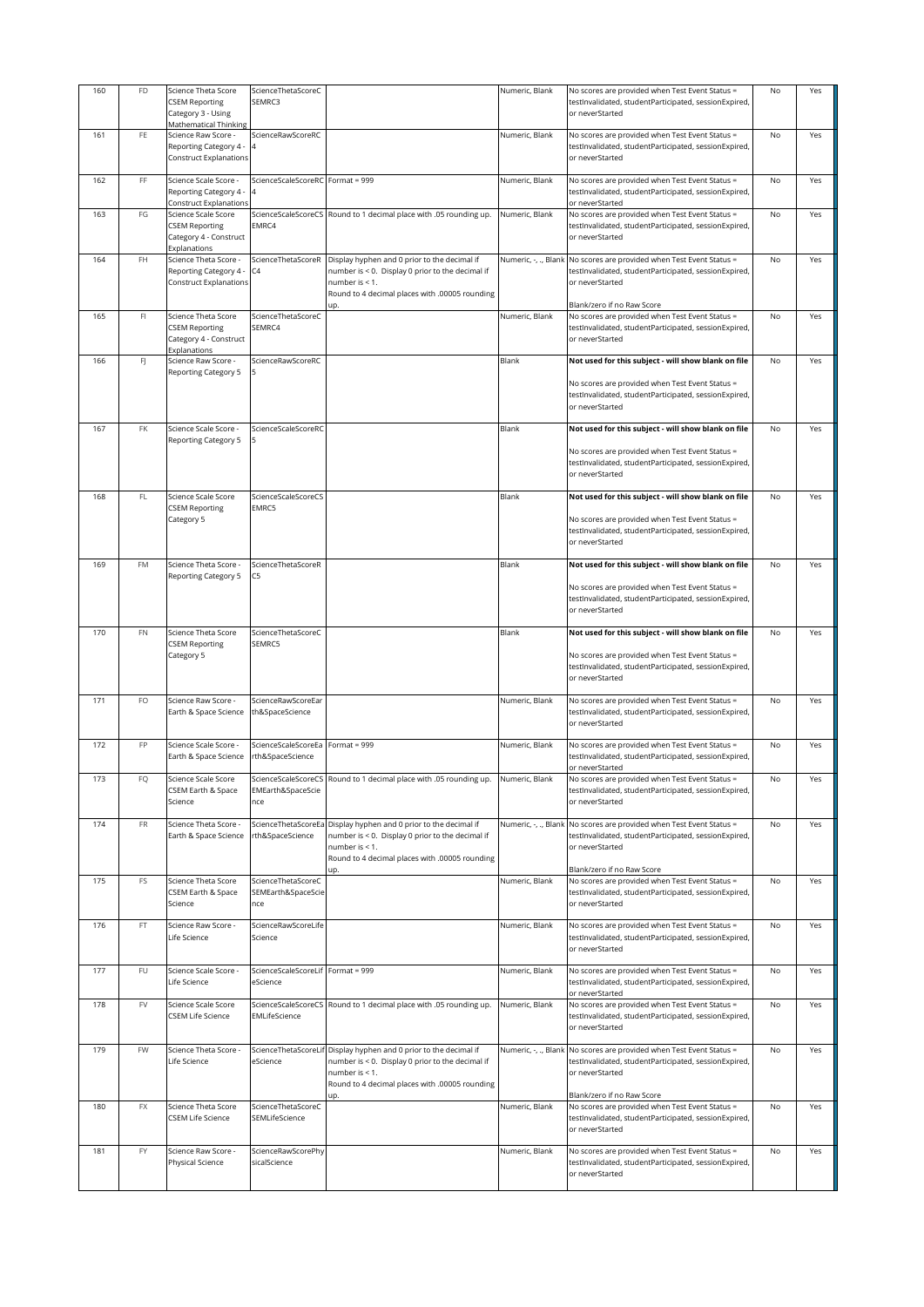| 160 | FD                      | Science Theta Score                                                       | ScienceThetaScoreC                              |                                                                                                                      | Numeric, Blank       | No scores are provided when Test Event Status =                                                                             | No        | Yes |
|-----|-------------------------|---------------------------------------------------------------------------|-------------------------------------------------|----------------------------------------------------------------------------------------------------------------------|----------------------|-----------------------------------------------------------------------------------------------------------------------------|-----------|-----|
|     |                         | <b>CSEM Reporting</b><br>Category 3 - Using                               | SEMRC3                                          |                                                                                                                      |                      | testInvalidated, studentParticipated, sessionExpired,<br>or neverStarted                                                    |           |     |
|     |                         | Mathematical Thinking                                                     |                                                 |                                                                                                                      |                      |                                                                                                                             |           |     |
| 161 | FE                      | Science Raw Score -                                                       | ScienceRawScoreRC                               |                                                                                                                      | Numeric, Blank       | No scores are provided when Test Event Status =                                                                             | <b>No</b> | Yes |
|     |                         | Reporting Category 4 -<br><b>Construct Explanations</b>                   |                                                 |                                                                                                                      |                      | testInvalidated, studentParticipated, sessionExpired,<br>or neverStarted                                                    |           |     |
| 162 | FF                      | Science Scale Score -<br>Reporting Category 4 -<br>Construct Explanations | ScienceScaleScoreRC Format = 999                |                                                                                                                      | Numeric, Blank       | No scores are provided when Test Event Status =<br>testInvalidated, studentParticipated, sessionExpired,<br>or neverStarted | No        | Yes |
| 163 | FG                      | Science Scale Score                                                       |                                                 | ScienceScaleScoreCS Round to 1 decimal place with .05 rounding up.                                                   | Numeric, Blank       | No scores are provided when Test Event Status =                                                                             | No        | Yes |
|     |                         | <b>CSEM Reporting</b><br>Category 4 - Construct<br>Explanations           | EMRC4                                           |                                                                                                                      |                      | testInvalidated, studentParticipated, sessionExpired,<br>or neverStarted                                                    |           |     |
| 164 | FH                      | Science Theta Score -                                                     | ScienceThetaScoreR                              | Display hyphen and 0 prior to the decimal if                                                                         | Numeric, -, ., Blank | No scores are provided when Test Event Status =                                                                             | No        | Yes |
|     |                         | Reporting Category 4 -<br><b>Construct Explanations</b>                   | C4                                              | number is < 0. Display 0 prior to the decimal if<br>number is < 1.<br>Round to 4 decimal places with .00005 rounding |                      | testInvalidated, studentParticipated, sessionExpired,<br>or neverStarted                                                    |           |     |
|     |                         |                                                                           |                                                 | up.                                                                                                                  |                      | Blank/zero if no Raw Score                                                                                                  |           |     |
| 165 | $\mathsf{F} \mathsf{I}$ | Science Theta Score<br><b>CSEM Reporting</b><br>Category 4 - Construct    | ScienceThetaScoreC<br>SEMRC4                    |                                                                                                                      | Numeric, Blank       | No scores are provided when Test Event Status =<br>testInvalidated, studentParticipated, sessionExpired,<br>or neverStarted | No        | Yes |
| 166 | FJ                      | Explanations<br>Science Raw Score -                                       | ScienceRawScoreRC                               |                                                                                                                      | Blank                | Not used for this subject - will show blank on file                                                                         | No        | Yes |
|     |                         | Reporting Category 5                                                      |                                                 |                                                                                                                      |                      |                                                                                                                             |           |     |
|     |                         |                                                                           |                                                 |                                                                                                                      |                      | No scores are provided when Test Event Status =<br>testInvalidated, studentParticipated, sessionExpired,<br>or neverStarted |           |     |
| 167 | FK                      | Science Scale Score -<br>Reporting Category 5                             | ScienceScaleScoreRC                             |                                                                                                                      | Blank                | Not used for this subject - will show blank on file                                                                         | No        | Yes |
|     |                         |                                                                           |                                                 |                                                                                                                      |                      | No scores are provided when Test Event Status =<br>testInvalidated, studentParticipated, sessionExpired,<br>or neverStarted |           |     |
| 168 | $\mathsf{FL}$           | Science Scale Score<br><b>CSEM Reporting</b>                              | ScienceScaleScoreCS<br>EMRC5                    |                                                                                                                      | Blank                | Not used for this subject - will show blank on file                                                                         | No        | Yes |
|     |                         | Category 5                                                                |                                                 |                                                                                                                      |                      | No scores are provided when Test Event Status =                                                                             |           |     |
|     |                         |                                                                           |                                                 |                                                                                                                      |                      | testInvalidated, studentParticipated, sessionExpired,<br>or neverStarted                                                    |           |     |
| 169 | FM                      | Science Theta Score -<br>Reporting Category 5                             | ScienceThetaScoreR<br>C5                        |                                                                                                                      | Blank                | Not used for this subject - will show blank on file                                                                         | No        | Yes |
|     |                         |                                                                           |                                                 |                                                                                                                      |                      | No scores are provided when Test Event Status =<br>testInvalidated, studentParticipated, sessionExpired,<br>or neverStarted |           |     |
| 170 | FN                      | Science Theta Score                                                       | ScienceThetaScoreC                              |                                                                                                                      | Blank                | Not used for this subject - will show blank on file                                                                         | No        | Yes |
|     |                         | <b>CSEM Reporting</b>                                                     | SEMRC5                                          |                                                                                                                      |                      |                                                                                                                             |           |     |
|     |                         | Category 5                                                                |                                                 |                                                                                                                      |                      | No scores are provided when Test Event Status =<br>testInvalidated, studentParticipated, sessionExpired,<br>or neverStarted |           |     |
| 171 | FO                      | Science Raw Score -<br>Earth & Space Science                              | ScienceRawScoreEar<br>th&SpaceScience           |                                                                                                                      | Numeric, Blank       | No scores are provided when Test Event Status =<br>testInvalidated, studentParticipated, sessionExpired,                    | No        | Yes |
| 172 | FP                      |                                                                           |                                                 | Format = $999$                                                                                                       | Numeric, Blank       | or neverStarted                                                                                                             | No        | Yes |
|     |                         | Science Scale Score -<br>Earth & Space Science                            | ScienceScaleScoreEa<br>rth&SpaceScience         |                                                                                                                      |                      | No scores are provided when Test Event Status =<br>testInvalidated, studentParticipated, sessionExpired,<br>or neverStarted |           |     |
| 173 | FQ                      | Science Scale Score<br>CSEM Earth & Space<br>Science                      | ScienceScaleScoreCS<br>EMEarth&SpaceScie<br>nce | Round to 1 decimal place with .05 rounding up.                                                                       | Numeric, Blank       | No scores are provided when Test Event Status =<br>testInvalidated, studentParticipated, sessionExpired,<br>or neverStarted | No        | Yes |
| 174 | FR                      | Science Theta Score -                                                     | ScienceThetaScoreEa                             | Display hyphen and 0 prior to the decimal if                                                                         | Numeric, -, ., Blank | No scores are provided when Test Event Status =                                                                             | No        | Yes |
|     |                         | Earth & Space Science                                                     | rth&SpaceScience                                | number is < 0. Display 0 prior to the decimal if<br>number is < 1.<br>Round to 4 decimal places with .00005 rounding |                      | testinvalidated, studentParticipated, sessionExpired,<br>or neverStarted                                                    |           |     |
| 175 | FS                      | Science Theta Score                                                       | ScienceThetaScoreC                              | up.                                                                                                                  | Numeric, Blank       | Blank/zero if no Raw Score<br>No scores are provided when Test Event Status =                                               | No        | Yes |
|     |                         | CSEM Earth & Space<br>Science                                             | SEMEarth&SpaceScie<br>nce                       |                                                                                                                      |                      | testInvalidated, studentParticipated, sessionExpired,<br>or neverStarted                                                    |           |     |
| 176 | $\mathsf{FT}$           | Science Raw Score -                                                       | ScienceRawScoreLife                             |                                                                                                                      | Numeric, Blank       | No scores are provided when Test Event Status =                                                                             | No        | Yes |
|     |                         | Life Science                                                              | Science                                         |                                                                                                                      |                      | testInvalidated, studentParticipated, sessionExpired,<br>or neverStarted                                                    |           |     |
| 177 | FU                      | Science Scale Score -<br>Life Science                                     | ScienceScaleScoreLif Format = 999<br>eScience   |                                                                                                                      | Numeric, Blank       | No scores are provided when Test Event Status =<br>testInvalidated, studentParticipated, sessionExpired,<br>or neverStarted | No        | Yes |
| 178 | FV                      | Science Scale Score<br><b>CSEM Life Science</b>                           | EMLifeScience                                   | ScienceScaleScoreCS Round to 1 decimal place with .05 rounding up.                                                   | Numeric, Blank       | No scores are provided when Test Event Status =<br>testInvalidated, studentParticipated, sessionExpired,<br>or neverStarted | No        | Yes |
| 179 | FW                      | Science Theta Score -<br>Life Science                                     | ScienceThetaScoreLif<br>eScience                | Display hyphen and 0 prior to the decimal if<br>number is < 0. Display 0 prior to the decimal if                     | Numeric, -, ., Blank | No scores are provided when Test Event Status =<br>testInvalidated, studentParticipated, sessionExpired,                    | No        | Yes |
|     |                         |                                                                           |                                                 | number is < 1.<br>Round to 4 decimal places with .00005 rounding                                                     |                      | or neverStarted<br>Blank/zero if no Raw Score                                                                               |           |     |
| 180 | FX                      | Science Theta Score                                                       | ScienceThetaScoreC                              |                                                                                                                      | Numeric, Blank       | No scores are provided when Test Event Status =                                                                             | No        | Yes |
|     |                         | <b>CSEM Life Science</b>                                                  | SEMLifeScience                                  |                                                                                                                      |                      | testInvalidated, studentParticipated, sessionExpired,<br>or neverStarted                                                    |           |     |
| 181 | FY                      | Science Raw Score -                                                       | ScienceRawScorePhy                              |                                                                                                                      | Numeric, Blank       | No scores are provided when Test Event Status =                                                                             | No        | Yes |
|     |                         | Physical Science                                                          | sicalScience                                    |                                                                                                                      |                      | testInvalidated, studentParticipated, sessionExpired,<br>or neverStarted                                                    |           |     |